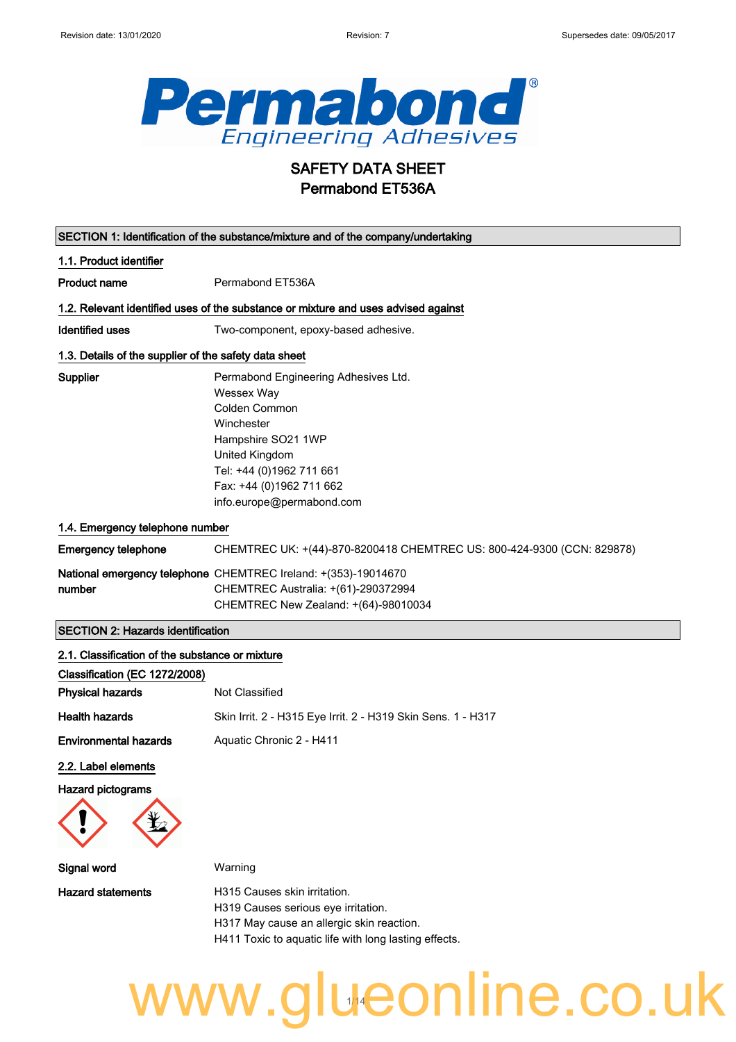

## SAFETY DATA SHEET Permabond ET536A

| SECTION 1: Identification of the substance/mixture and of the company/undertaking |                                                                                                                                                                                                                |  |
|-----------------------------------------------------------------------------------|----------------------------------------------------------------------------------------------------------------------------------------------------------------------------------------------------------------|--|
| 1.1. Product identifier                                                           |                                                                                                                                                                                                                |  |
| <b>Product name</b>                                                               | Permabond ET536A                                                                                                                                                                                               |  |
|                                                                                   | 1.2. Relevant identified uses of the substance or mixture and uses advised against                                                                                                                             |  |
| <b>Identified uses</b>                                                            | Two-component, epoxy-based adhesive.                                                                                                                                                                           |  |
| 1.3. Details of the supplier of the safety data sheet                             |                                                                                                                                                                                                                |  |
| Supplier                                                                          | Permabond Engineering Adhesives Ltd.<br>Wessex Way<br>Colden Common<br>Winchester<br>Hampshire SO21 1WP<br>United Kingdom<br>Tel: +44 (0)1962 711 661<br>Fax: +44 (0)1962 711 662<br>info.europe@permabond.com |  |
| 1.4. Emergency telephone number                                                   |                                                                                                                                                                                                                |  |
| <b>Emergency telephone</b>                                                        | CHEMTREC UK: +(44)-870-8200418 CHEMTREC US: 800-424-9300 (CCN: 829878)                                                                                                                                         |  |
| number                                                                            | National emergency telephone CHEMTREC Ireland: +(353)-19014670<br>CHEMTREC Australia: +(61)-290372994<br>CHEMTREC New Zealand: +(64)-98010034                                                                  |  |
| <b>SECTION 2: Hazards identification</b>                                          |                                                                                                                                                                                                                |  |
| 2.1. Classification of the substance or mixture                                   |                                                                                                                                                                                                                |  |
| Classification (EC 1272/2008)                                                     |                                                                                                                                                                                                                |  |
| <b>Physical hazards</b>                                                           | Not Classified                                                                                                                                                                                                 |  |
| <b>Health hazards</b>                                                             | Skin Irrit. 2 - H315 Eye Irrit. 2 - H319 Skin Sens. 1 - H317                                                                                                                                                   |  |
| <b>Environmental hazards</b>                                                      | Aquatic Chronic 2 - H411                                                                                                                                                                                       |  |
| 2.2. Label elements<br><b>Hazard pictograms</b>                                   |                                                                                                                                                                                                                |  |
| Signal word                                                                       | Warning                                                                                                                                                                                                        |  |
| <b>Hazard statements</b>                                                          | H315 Causes skin irritation.<br>H319 Causes serious eye irritation.<br>H317 May cause an allergic skin reaction.<br>H411 Toxic to aquatic life with long lasting effects.                                      |  |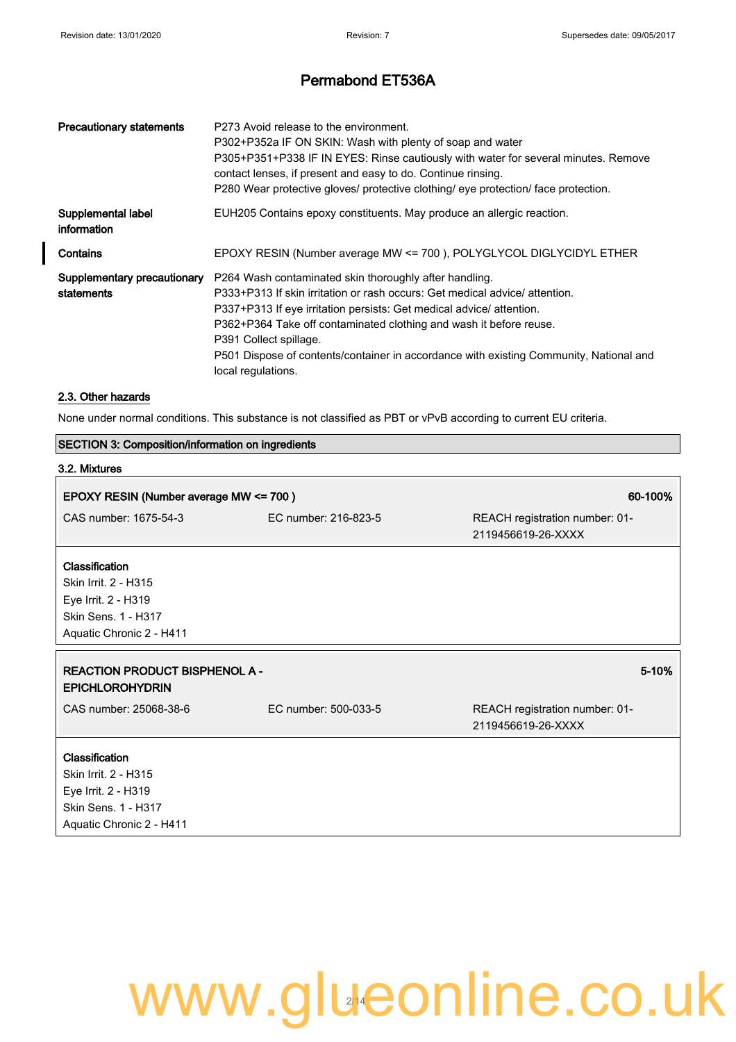| <b>Precautionary statements</b>           | P273 Avoid release to the environment.<br>P302+P352a IF ON SKIN: Wash with plenty of soap and water<br>P305+P351+P338 IF IN EYES: Rinse cautiously with water for several minutes. Remove<br>contact lenses, if present and easy to do. Continue rinsing.<br>P280 Wear protective gloves/ protective clothing/ eye protection/ face protection.                                                                               |
|-------------------------------------------|-------------------------------------------------------------------------------------------------------------------------------------------------------------------------------------------------------------------------------------------------------------------------------------------------------------------------------------------------------------------------------------------------------------------------------|
| Supplemental label<br>information         | EUH205 Contains epoxy constituents. May produce an allergic reaction.                                                                                                                                                                                                                                                                                                                                                         |
| Contains                                  | EPOXY RESIN (Number average MW <= 700), POLYGLYCOL DIGLYCIDYL ETHER                                                                                                                                                                                                                                                                                                                                                           |
| Supplementary precautionary<br>statements | P264 Wash contaminated skin thoroughly after handling.<br>P333+P313 If skin irritation or rash occurs: Get medical advice/ attention.<br>P337+P313 If eye irritation persists: Get medical advice/ attention.<br>P362+P364 Take off contaminated clothing and wash it before reuse.<br>P391 Collect spillage.<br>P501 Dispose of contents/container in accordance with existing Community, National and<br>local regulations. |

#### 2.3. Other hazards

 $\overline{\phantom{a}}$ 

None under normal conditions. This substance is not classified as PBT or vPvB according to current EU criteria.

|                                                                                                                         | <b>SECTION 3: Composition/information on ingredients</b> |                                                      |  |
|-------------------------------------------------------------------------------------------------------------------------|----------------------------------------------------------|------------------------------------------------------|--|
| 3.2. Mixtures                                                                                                           |                                                          |                                                      |  |
| EPOXY RESIN (Number average MW <= 700)                                                                                  |                                                          | 60-100%                                              |  |
| CAS number: 1675-54-3                                                                                                   | EC number: 216-823-5                                     | REACH registration number: 01-<br>2119456619-26-XXXX |  |
| Classification<br>Skin Irrit. 2 - H315<br>Eye Irrit. 2 - H319<br><b>Skin Sens. 1 - H317</b><br>Aquatic Chronic 2 - H411 |                                                          |                                                      |  |
| <b>REACTION PRODUCT BISPHENOL A -</b><br><b>EPICHLOROHYDRIN</b>                                                         |                                                          | 5-10%                                                |  |
| CAS number: 25068-38-6                                                                                                  | EC number: 500-033-5                                     | REACH registration number: 01-<br>2119456619-26-XXXX |  |
| Classification<br>Skin Irrit. 2 - H315<br>Eye Irrit. 2 - H319<br>Skin Sens. 1 - H317<br>Aquatic Chronic 2 - H411        |                                                          |                                                      |  |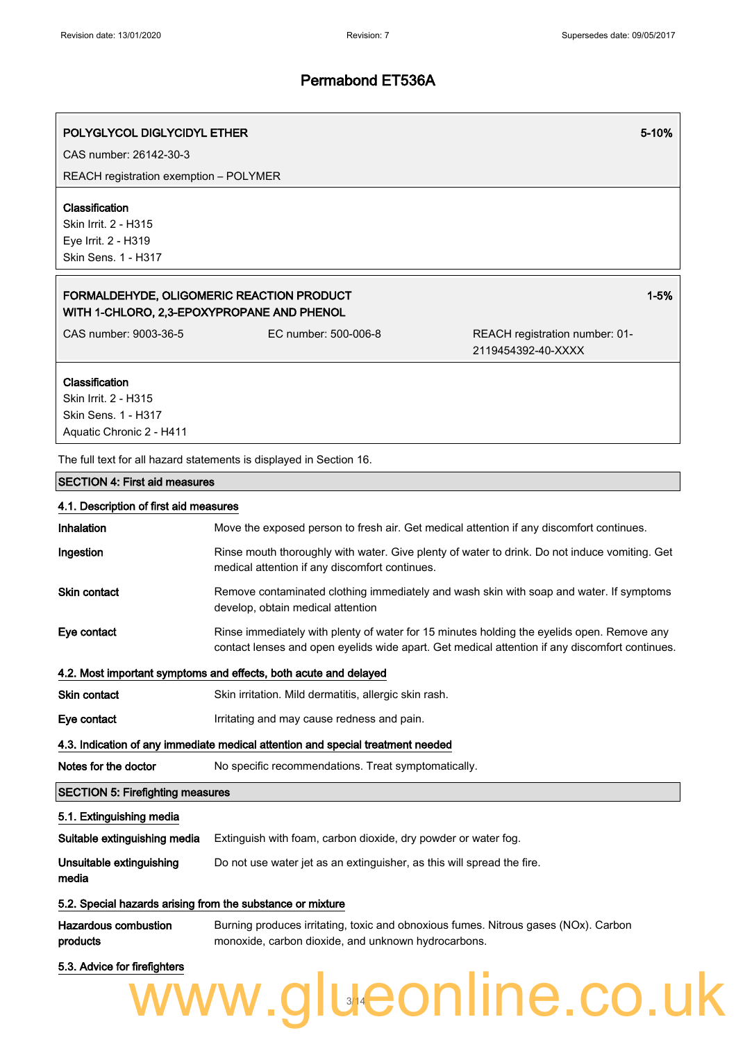1-5%

### Permabond ET536A

### POLYGLYCOL DIGLYCIDYL ETHER 5-10%

CAS number: 26142-30-3

REACH registration exemption – POLYMER

#### Classification

Skin Irrit. 2 - H315 Eye Irrit. 2 - H319 Skin Sens. 1 - H317

### FORMALDEHYDE, OLIGOMERIC REACTION PRODUCT WITH 1-CHLORO, 2,3-EPOXYPROPANE AND PHENOL

CAS number: 9003-36-5 EC number: 500-006-8 REACH registration number: 01- 2119454392-40-XXXX

#### Classification

Skin Irrit. 2 - H315 Skin Sens. 1 - H317 Aquatic Chronic 2 - H411

The full text for all hazard statements is displayed in Section 16.

#### SECTION 4: First aid measures

| 4.1. Description of first aid measures                                          |                                                                                                                                                                                              |  |
|---------------------------------------------------------------------------------|----------------------------------------------------------------------------------------------------------------------------------------------------------------------------------------------|--|
| Inhalation                                                                      | Move the exposed person to fresh air. Get medical attention if any discomfort continues.                                                                                                     |  |
| Ingestion                                                                       | Rinse mouth thoroughly with water. Give plenty of water to drink. Do not induce vomiting. Get<br>medical attention if any discomfort continues.                                              |  |
| Skin contact                                                                    | Remove contaminated clothing immediately and wash skin with soap and water. If symptoms<br>develop, obtain medical attention                                                                 |  |
| Eye contact                                                                     | Rinse immediately with plenty of water for 15 minutes holding the eyelids open. Remove any<br>contact lenses and open eyelids wide apart. Get medical attention if any discomfort continues. |  |
| 4.2. Most important symptoms and effects, both acute and delayed                |                                                                                                                                                                                              |  |
| <b>Skin contact</b>                                                             | Skin irritation. Mild dermatitis, allergic skin rash.                                                                                                                                        |  |
| Eye contact                                                                     | Irritating and may cause redness and pain.                                                                                                                                                   |  |
| 4.3. Indication of any immediate medical attention and special treatment needed |                                                                                                                                                                                              |  |
| Notes for the doctor                                                            | No specific recommendations. Treat symptomatically.                                                                                                                                          |  |
| <b>SECTION 5: Firefighting measures</b>                                         |                                                                                                                                                                                              |  |
| 5.1. Extinguishing media                                                        |                                                                                                                                                                                              |  |
| Suitable extinguishing media                                                    | Extinguish with foam, carbon dioxide, dry powder or water fog.                                                                                                                               |  |
| Unsuitable extinguishing<br>media                                               | Do not use water jet as an extinguisher, as this will spread the fire.                                                                                                                       |  |
| 5.2. Special hazards arising from the substance or mixture                      |                                                                                                                                                                                              |  |
|                                                                                 | the contract of the contract of the contract of the contract of the contract of the contract of the contract of                                                                              |  |

Hazardous combustion products Burning produces irritating, toxic and obnoxious fumes. Nitrous gases (NOx). Carbon monoxide, carbon dioxide, and unknown hydrocarbons.

### 5.3. Advice for firefighters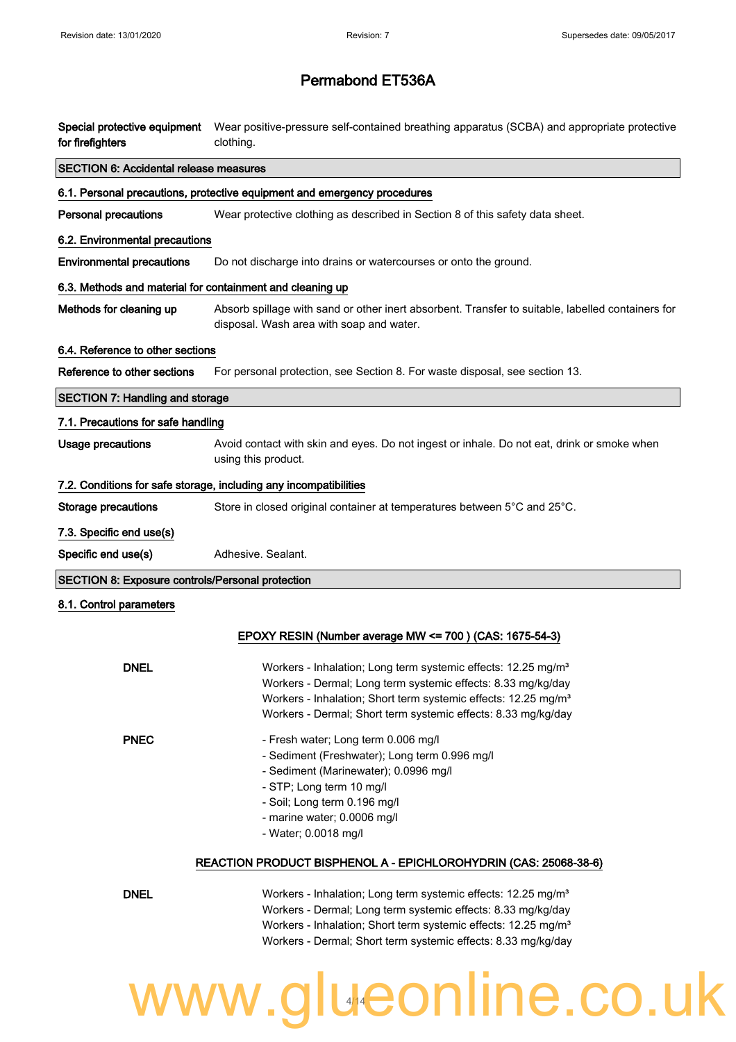## Permabond ET536A

| Special protective equipment<br>for firefighters          | Wear positive-pressure self-contained breathing apparatus (SCBA) and appropriate protective<br>clothing.                                                                                                                                                                                 |
|-----------------------------------------------------------|------------------------------------------------------------------------------------------------------------------------------------------------------------------------------------------------------------------------------------------------------------------------------------------|
| <b>SECTION 6: Accidental release measures</b>             |                                                                                                                                                                                                                                                                                          |
|                                                           | 6.1. Personal precautions, protective equipment and emergency procedures                                                                                                                                                                                                                 |
| <b>Personal precautions</b>                               | Wear protective clothing as described in Section 8 of this safety data sheet.                                                                                                                                                                                                            |
| 6.2. Environmental precautions                            |                                                                                                                                                                                                                                                                                          |
| <b>Environmental precautions</b>                          | Do not discharge into drains or watercourses or onto the ground.                                                                                                                                                                                                                         |
| 6.3. Methods and material for containment and cleaning up |                                                                                                                                                                                                                                                                                          |
| Methods for cleaning up                                   | Absorb spillage with sand or other inert absorbent. Transfer to suitable, labelled containers for<br>disposal. Wash area with soap and water.                                                                                                                                            |
| 6.4. Reference to other sections                          |                                                                                                                                                                                                                                                                                          |
| Reference to other sections                               | For personal protection, see Section 8. For waste disposal, see section 13.                                                                                                                                                                                                              |
| <b>SECTION 7: Handling and storage</b>                    |                                                                                                                                                                                                                                                                                          |
| 7.1. Precautions for safe handling                        |                                                                                                                                                                                                                                                                                          |
| <b>Usage precautions</b>                                  | Avoid contact with skin and eyes. Do not ingest or inhale. Do not eat, drink or smoke when<br>using this product.                                                                                                                                                                        |
|                                                           | 7.2. Conditions for safe storage, including any incompatibilities                                                                                                                                                                                                                        |
| <b>Storage precautions</b>                                | Store in closed original container at temperatures between 5°C and 25°C.                                                                                                                                                                                                                 |
| 7.3. Specific end use(s)                                  |                                                                                                                                                                                                                                                                                          |
| Specific end use(s)                                       | Adhesive. Sealant.                                                                                                                                                                                                                                                                       |
| <b>SECTION 8: Exposure controls/Personal protection</b>   |                                                                                                                                                                                                                                                                                          |
| 8.1. Control parameters                                   |                                                                                                                                                                                                                                                                                          |
|                                                           | EPOXY RESIN (Number average MW <= 700) (CAS: 1675-54-3)                                                                                                                                                                                                                                  |
| <b>DNEL</b>                                               | Workers - Inhalation; Long term systemic effects: 12.25 mg/m <sup>3</sup><br>Workers - Dermal; Long term systemic effects: 8.33 mg/kg/day<br>Workers - Inhalation; Short term systemic effects: 12.25 mg/m <sup>3</sup><br>Workers - Dermal; Short term systemic effects: 8.33 mg/kg/day |
| <b>PNEC</b>                                               | - Fresh water; Long term 0.006 mg/l<br>- Sediment (Freshwater); Long term 0.996 mg/l<br>- Sediment (Marinewater); 0.0996 mg/l<br>- STP; Long term 10 mg/l<br>- Soil; Long term 0.196 mg/l<br>- marine water; 0.0006 mg/l<br>- Water; 0.0018 mg/l                                         |
|                                                           | REACTION PRODUCT BISPHENOL A - EPICHLOROHYDRIN (CAS: 25068-38-6)                                                                                                                                                                                                                         |
| <b>DNEL</b>                                               | Workers - Inhalation; Long term systemic effects: 12.25 mg/m <sup>3</sup><br>Workers - Dermal; Long term systemic effects: 8.33 mg/kg/day                                                                                                                                                |

Workers - Dermal; Long term systemic effects: 8.33 mg/kg/day Workers - Inhalation; Short term systemic effects: 12.25 mg/m<sup>3</sup> Workers - Dermal; Short term systemic effects: 8.33 mg/kg/day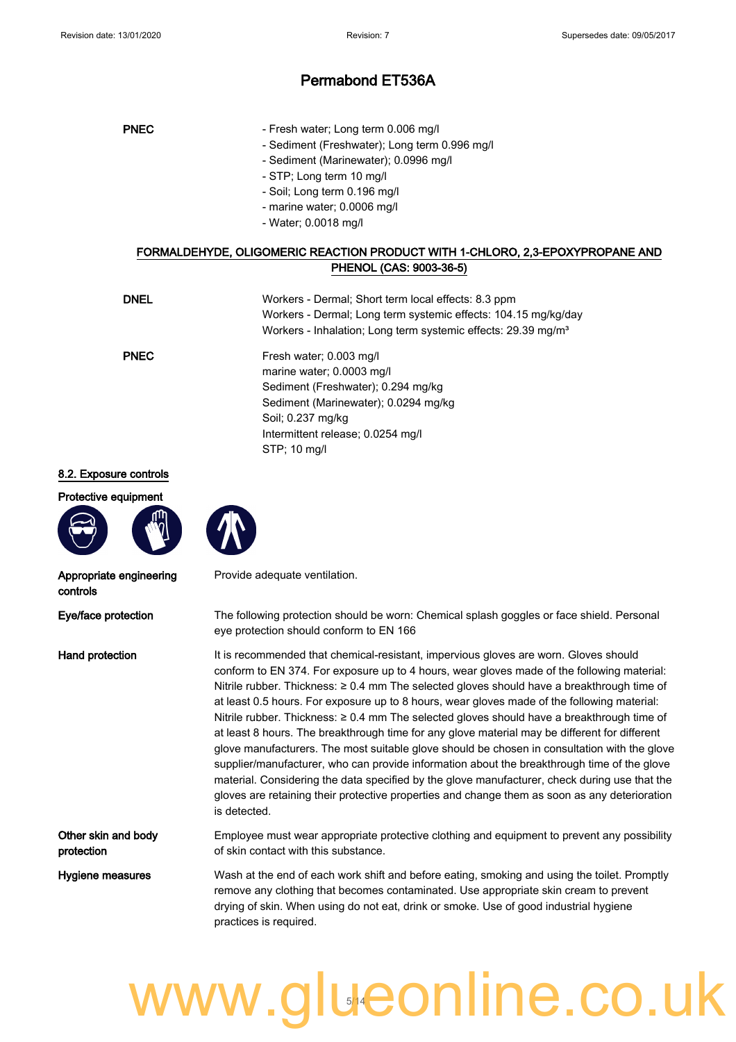| <b>PNEC</b> | - Fresh water; Long term 0.006 mg/l           |
|-------------|-----------------------------------------------|
|             | - Sediment (Freshwater); Long term 0.996 mg/l |
|             | - Sediment (Marinewater); 0.0996 mg/l         |
|             | - STP; Long term 10 mg/l                      |
|             | - Soil; Long term 0.196 mg/l                  |
|             |                                               |

- marine water; 0.0006 mg/l
- Water; 0.0018 mg/l

### FORMALDEHYDE, OLIGOMERIC REACTION PRODUCT WITH 1-CHLORO, 2,3-EPOXYPROPANE AND PHENOL (CAS: 9003-36-5)

| <b>DNEL</b> | Workers - Dermal; Short term local effects: 8.3 ppm<br>Workers - Dermal; Long term systemic effects: 104.15 mg/kg/day<br>Workers - Inhalation; Long term systemic effects: 29.39 mg/m <sup>3</sup>           |
|-------------|--------------------------------------------------------------------------------------------------------------------------------------------------------------------------------------------------------------|
| <b>PNEC</b> | Fresh water; 0.003 mg/l<br>marine water; 0.0003 mg/l<br>Sediment (Freshwater); 0.294 mg/kg<br>Sediment (Marinewater); 0.0294 mg/kg<br>Soil: 0.237 mg/kg<br>Intermittent release; 0.0254 mg/l<br>STP; 10 mg/l |

#### 8.2. Exposure controls

Protective equipment





Appropriate engineering controls

Other skin and body protection

Provide adequate ventilation.

Eye/face protection The following protection should be worn: Chemical splash goggles or face shield. Personal eye protection should conform to EN 166

Hand protection It is recommended that chemical-resistant, impervious gloves are worn. Gloves should conform to EN 374. For exposure up to 4 hours, wear gloves made of the following material: Nitrile rubber. Thickness: ≥ 0.4 mm The selected gloves should have a breakthrough time of at least 0.5 hours. For exposure up to 8 hours, wear gloves made of the following material: Nitrile rubber. Thickness: ≥ 0.4 mm The selected gloves should have a breakthrough time of at least 8 hours. The breakthrough time for any glove material may be different for different glove manufacturers. The most suitable glove should be chosen in consultation with the glove supplier/manufacturer, who can provide information about the breakthrough time of the glove material. Considering the data specified by the glove manufacturer, check during use that the gloves are retaining their protective properties and change them as soon as any deterioration is detected.

> Employee must wear appropriate protective clothing and equipment to prevent any possibility of skin contact with this substance.

Hygiene measures Wash at the end of each work shift and before eating, smoking and using the toilet. Promptly remove any clothing that becomes contaminated. Use appropriate skin cream to prevent drying of skin. When using do not eat, drink or smoke. Use of good industrial hygiene practices is required.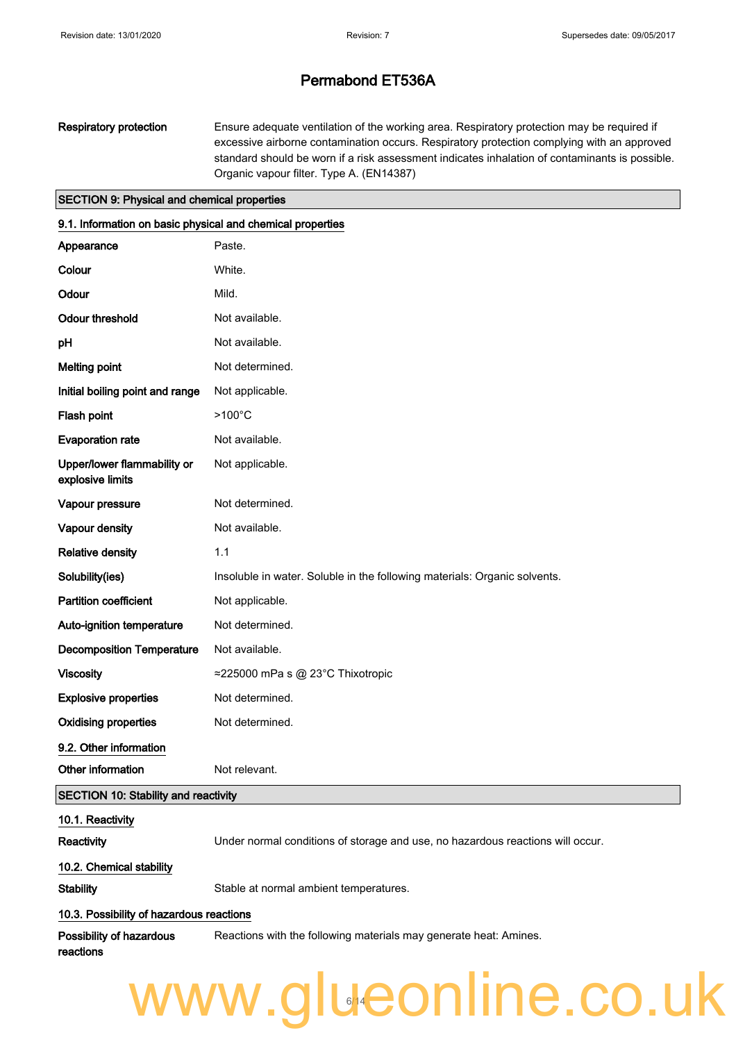Respiratory protection Ensure adequate ventilation of the working area. Respiratory protection may be required if excessive airborne contamination occurs. Respiratory protection complying with an approved standard should be worn if a risk assessment indicates inhalation of contaminants is possible. Organic vapour filter. Type A. (EN14387)

#### SECTION 9: Physical and chemical properties

| 9.1. Information on basic physical and chemical properties |                                                                                |
|------------------------------------------------------------|--------------------------------------------------------------------------------|
| Appearance                                                 | Paste.                                                                         |
| Colour                                                     | White.                                                                         |
| Odour                                                      | Mild.                                                                          |
| <b>Odour threshold</b>                                     | Not available.                                                                 |
| pH                                                         | Not available.                                                                 |
| <b>Melting point</b>                                       | Not determined.                                                                |
| Initial boiling point and range                            | Not applicable.                                                                |
| Flash point                                                | $>100^{\circ}$ C                                                               |
| <b>Evaporation rate</b>                                    | Not available.                                                                 |
| Upper/lower flammability or<br>explosive limits            | Not applicable.                                                                |
| Vapour pressure                                            | Not determined.                                                                |
| Vapour density                                             | Not available.                                                                 |
| <b>Relative density</b>                                    | 1.1                                                                            |
| Solubility(ies)                                            | Insoluble in water. Soluble in the following materials: Organic solvents.      |
| <b>Partition coefficient</b>                               | Not applicable.                                                                |
| Auto-ignition temperature                                  | Not determined.                                                                |
| <b>Decomposition Temperature</b>                           | Not available.                                                                 |
| <b>Viscosity</b>                                           | ≈225000 mPa s @ 23°C Thixotropic                                               |
| <b>Explosive properties</b>                                | Not determined.                                                                |
| <b>Oxidising properties</b>                                | Not determined.                                                                |
| 9.2. Other information                                     |                                                                                |
| Other information                                          | Not relevant.                                                                  |
| <b>SECTION 10: Stability and reactivity</b>                |                                                                                |
| 10.1. Reactivity                                           |                                                                                |
| Reactivity                                                 | Under normal conditions of storage and use, no hazardous reactions will occur. |
| 10.2. Chemical stability                                   |                                                                                |
| <b>Stability</b>                                           | Stable at normal ambient temperatures.                                         |
| 10.3. Possibility of hazardous reactions                   |                                                                                |
| Possibility of hazardous<br>reactions                      | Reactions with the following materials may generate heat: Amines.              |
| www.glueonline.co.uk                                       |                                                                                |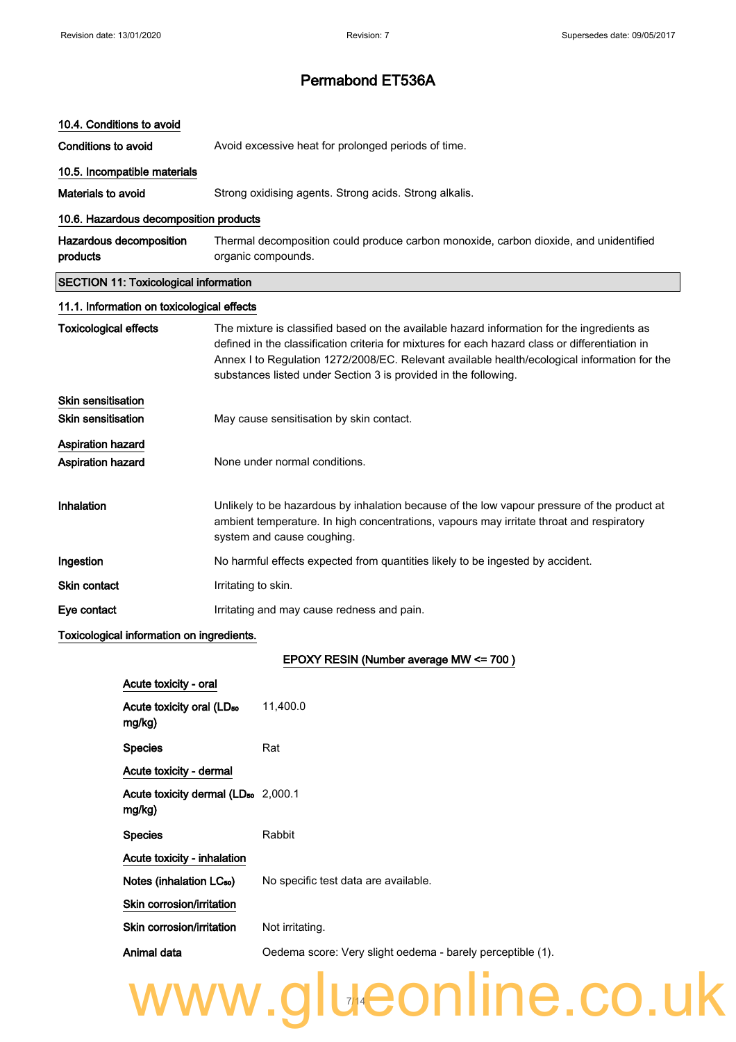| 10.4. Conditions to avoid                            |                                                                                                                                                                                                                                                                                                                                                                  |  |
|------------------------------------------------------|------------------------------------------------------------------------------------------------------------------------------------------------------------------------------------------------------------------------------------------------------------------------------------------------------------------------------------------------------------------|--|
| Conditions to avoid                                  | Avoid excessive heat for prolonged periods of time.                                                                                                                                                                                                                                                                                                              |  |
| 10.5. Incompatible materials                         |                                                                                                                                                                                                                                                                                                                                                                  |  |
| Materials to avoid                                   | Strong oxidising agents. Strong acids. Strong alkalis.                                                                                                                                                                                                                                                                                                           |  |
| 10.6. Hazardous decomposition products               |                                                                                                                                                                                                                                                                                                                                                                  |  |
| Hazardous decomposition<br>products                  | Thermal decomposition could produce carbon monoxide, carbon dioxide, and unidentified<br>organic compounds.                                                                                                                                                                                                                                                      |  |
| <b>SECTION 11: Toxicological information</b>         |                                                                                                                                                                                                                                                                                                                                                                  |  |
| 11.1. Information on toxicological effects           |                                                                                                                                                                                                                                                                                                                                                                  |  |
| <b>Toxicological effects</b>                         | The mixture is classified based on the available hazard information for the ingredients as<br>defined in the classification criteria for mixtures for each hazard class or differentiation in<br>Annex I to Regulation 1272/2008/EC. Relevant available health/ecological information for the<br>substances listed under Section 3 is provided in the following. |  |
| Skin sensitisation<br><b>Skin sensitisation</b>      | May cause sensitisation by skin contact.                                                                                                                                                                                                                                                                                                                         |  |
| <b>Aspiration hazard</b><br><b>Aspiration hazard</b> | None under normal conditions.                                                                                                                                                                                                                                                                                                                                    |  |
| Inhalation                                           | Unlikely to be hazardous by inhalation because of the low vapour pressure of the product at<br>ambient temperature. In high concentrations, vapours may irritate throat and respiratory<br>system and cause coughing.                                                                                                                                            |  |
| Ingestion                                            | No harmful effects expected from quantities likely to be ingested by accident.                                                                                                                                                                                                                                                                                   |  |
| <b>Skin contact</b>                                  | Irritating to skin.                                                                                                                                                                                                                                                                                                                                              |  |
| Eye contact                                          | Irritating and may cause redness and pain.                                                                                                                                                                                                                                                                                                                       |  |

#### Toxicological information on ingredients.

#### EPOXY RESIN (Number average MW <= 700 )

| Acute toxicity - oral                                     |                                                            |
|-----------------------------------------------------------|------------------------------------------------------------|
| Acute toxicity oral (LD <sub>50</sub><br>mg/kg            | 11,400.0                                                   |
| <b>Species</b>                                            | Rat                                                        |
| Acute toxicity - dermal                                   |                                                            |
| Acute toxicity dermal (LD <sub>50</sub> 2,000.1<br>mg/kg) |                                                            |
| <b>Species</b>                                            | Rabbit                                                     |
| Acute toxicity - inhalation                               |                                                            |
| Notes (inhalation LC <sub>50</sub> )                      | No specific test data are available.                       |
| Skin corrosion/irritation                                 |                                                            |
| Skin corrosion/irritation                                 | Not irritating.                                            |
| Animal data                                               | Oedema score: Very slight oedema - barely perceptible (1). |

14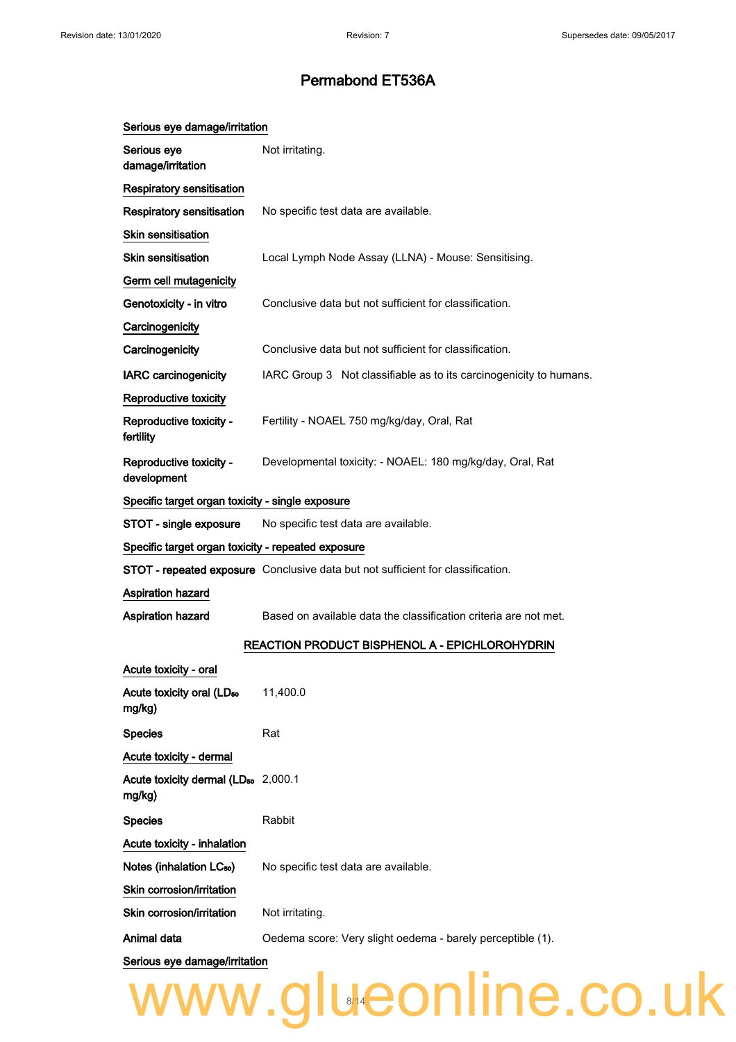| Serious eye damage/irritation                             |                                                                                 |  |
|-----------------------------------------------------------|---------------------------------------------------------------------------------|--|
| Serious eye<br>damage/irritation                          | Not irritating.                                                                 |  |
| Respiratory sensitisation                                 |                                                                                 |  |
| <b>Respiratory sensitisation</b>                          | No specific test data are available.                                            |  |
| <b>Skin sensitisation</b>                                 |                                                                                 |  |
| <b>Skin sensitisation</b>                                 | Local Lymph Node Assay (LLNA) - Mouse: Sensitising.                             |  |
| Germ cell mutagenicity                                    |                                                                                 |  |
| Genotoxicity - in vitro                                   | Conclusive data but not sufficient for classification.                          |  |
| Carcinogenicity                                           |                                                                                 |  |
| Carcinogenicity                                           | Conclusive data but not sufficient for classification.                          |  |
| <b>IARC</b> carcinogenicity                               | IARC Group 3 Not classifiable as to its carcinogenicity to humans.              |  |
| Reproductive toxicity                                     |                                                                                 |  |
| Reproductive toxicity -<br>fertility                      | Fertility - NOAEL 750 mg/kg/day, Oral, Rat                                      |  |
| Reproductive toxicity -<br>development                    | Developmental toxicity: - NOAEL: 180 mg/kg/day, Oral, Rat                       |  |
| Specific target organ toxicity - single exposure          |                                                                                 |  |
| STOT - single exposure                                    | No specific test data are available.                                            |  |
| Specific target organ toxicity - repeated exposure        |                                                                                 |  |
|                                                           | STOT - repeated exposure Conclusive data but not sufficient for classification. |  |
| <b>Aspiration hazard</b>                                  |                                                                                 |  |
| <b>Aspiration hazard</b>                                  | Based on available data the classification criteria are not met.                |  |
|                                                           | <b>REACTION PRODUCT BISPHENOL A - EPICHLOROHYDRIN</b>                           |  |
| Acute toxicity - oral                                     |                                                                                 |  |
| Acute toxicity oral (LD <sub>50</sub><br>mg/kg)           | 11,400.0                                                                        |  |
| <b>Species</b>                                            | Rat                                                                             |  |
| Acute toxicity - dermal                                   |                                                                                 |  |
| Acute toxicity dermal (LD <sub>50</sub> 2,000.1<br>mg/kg) |                                                                                 |  |
| <b>Species</b>                                            | Rabbit                                                                          |  |
| Acute toxicity - inhalation                               |                                                                                 |  |
| Notes (inhalation LC <sub>50</sub> )                      | No specific test data are available.                                            |  |
| Skin corrosion/irritation                                 |                                                                                 |  |
| Skin corrosion/irritation                                 | Not irritating.                                                                 |  |
| Animal data                                               | Oedema score: Very slight oedema - barely perceptible (1).                      |  |
| Serious eye damage/irritation                             |                                                                                 |  |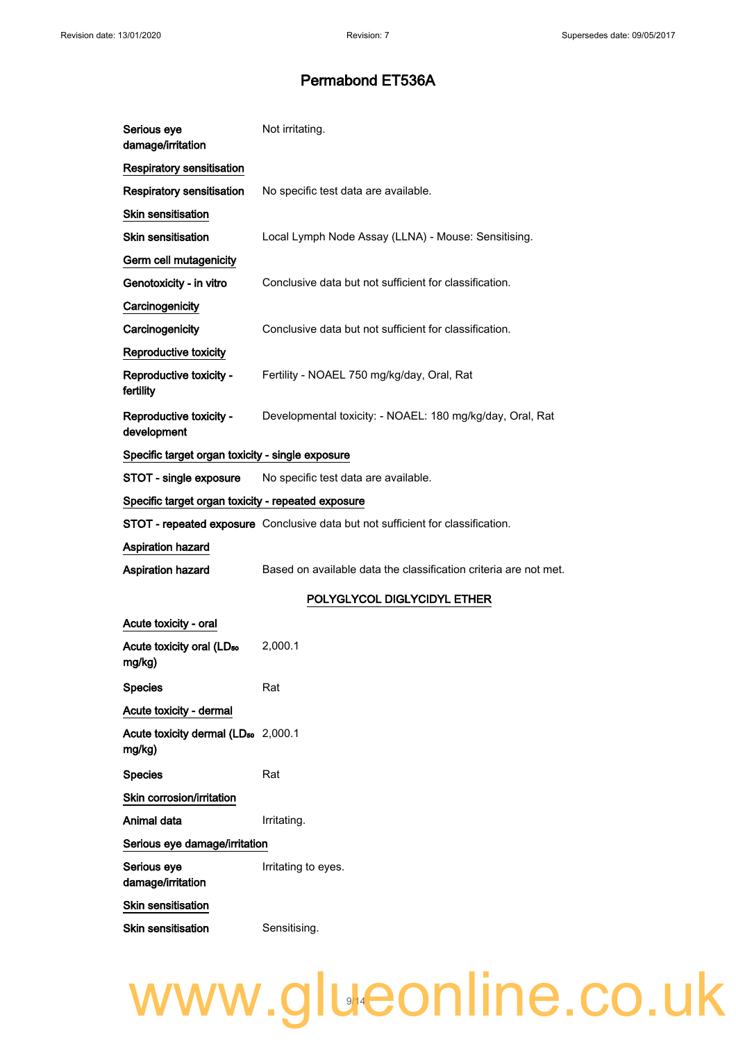| Serious eye<br>damage/irritation                          | Not irritating.                                                                 |
|-----------------------------------------------------------|---------------------------------------------------------------------------------|
| <b>Respiratory sensitisation</b>                          |                                                                                 |
| <b>Respiratory sensitisation</b>                          | No specific test data are available.                                            |
| <b>Skin sensitisation</b>                                 |                                                                                 |
| <b>Skin sensitisation</b>                                 | Local Lymph Node Assay (LLNA) - Mouse: Sensitising.                             |
| Germ cell mutagenicity                                    |                                                                                 |
| Genotoxicity - in vitro                                   | Conclusive data but not sufficient for classification.                          |
| Carcinogenicity                                           |                                                                                 |
| Carcinogenicity                                           | Conclusive data but not sufficient for classification.                          |
| Reproductive toxicity                                     |                                                                                 |
| Reproductive toxicity -<br>fertility                      | Fertility - NOAEL 750 mg/kg/day, Oral, Rat                                      |
| Reproductive toxicity -<br>development                    | Developmental toxicity: - NOAEL: 180 mg/kg/day, Oral, Rat                       |
| Specific target organ toxicity - single exposure          |                                                                                 |
| STOT - single exposure                                    | No specific test data are available.                                            |
| Specific target organ toxicity - repeated exposure        |                                                                                 |
|                                                           | STOT - repeated exposure Conclusive data but not sufficient for classification. |
| Aspiration hazard                                         |                                                                                 |
| <b>Aspiration hazard</b>                                  | Based on available data the classification criteria are not met.                |
|                                                           | POLYGLYCOL DIGLYCIDYL ETHER                                                     |
| Acute toxicity - oral                                     |                                                                                 |
| Acute toxicity oral (LD <sub>50</sub><br>mg/kg)           | 2,000.1                                                                         |
| <b>Species</b>                                            | Rat                                                                             |
| Acute toxicity - dermal                                   |                                                                                 |
| Acute toxicity dermal (LD <sub>50</sub> 2,000.1<br>mg/kg) |                                                                                 |
| <b>Species</b>                                            | Rat                                                                             |
| Skin corrosion/irritation                                 |                                                                                 |
| Animal data                                               | Irritating.                                                                     |
| Serious eye damage/irritation                             |                                                                                 |
| Serious eye<br>damage/irritation                          | Irritating to eyes.                                                             |
| <b>Skin sensitisation</b>                                 |                                                                                 |

Skin sensitisation Sensitising.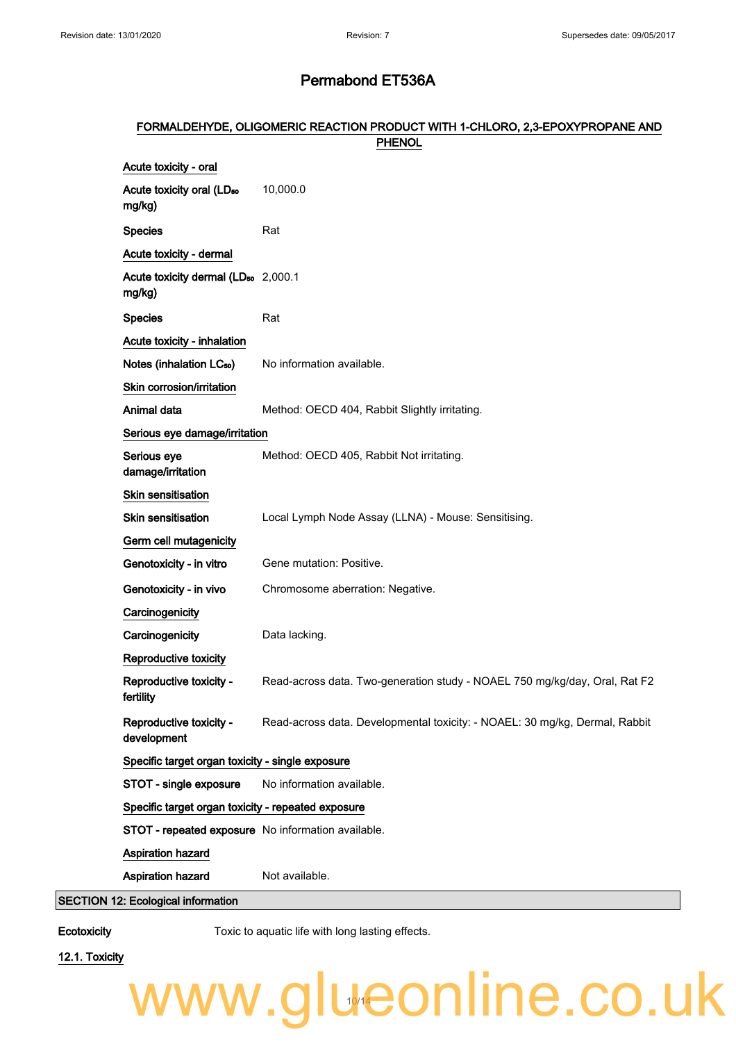#### FORMALDEHYDE, OLIGOMERIC REACTION PRODUCT WITH 1-CHLORO, 2,3-EPOXYPROPANE AND **PHENOL**

| Acute toxicity - oral                                     |                                                                             |  |
|-----------------------------------------------------------|-----------------------------------------------------------------------------|--|
| Acute toxicity oral (LD <sub>50</sub><br>mg/kg)           | 10,000.0                                                                    |  |
| <b>Species</b>                                            | Rat                                                                         |  |
| Acute toxicity - dermal                                   |                                                                             |  |
| Acute toxicity dermal (LD <sub>50</sub> 2,000.1<br>mg/kg) |                                                                             |  |
| <b>Species</b>                                            | Rat                                                                         |  |
| Acute toxicity - inhalation                               |                                                                             |  |
| Notes (inhalation LC <sub>50</sub> )                      | No information available.                                                   |  |
| Skin corrosion/irritation                                 |                                                                             |  |
| Animal data                                               | Method: OECD 404, Rabbit Slightly irritating.                               |  |
| Serious eye damage/irritation                             |                                                                             |  |
| Serious eye<br>damage/irritation                          | Method: OECD 405, Rabbit Not irritating.                                    |  |
| <b>Skin sensitisation</b>                                 |                                                                             |  |
| <b>Skin sensitisation</b>                                 | Local Lymph Node Assay (LLNA) - Mouse: Sensitising.                         |  |
| Germ cell mutagenicity                                    |                                                                             |  |
| Genotoxicity - in vitro                                   | Gene mutation: Positive.                                                    |  |
| Genotoxicity - in vivo                                    | Chromosome aberration: Negative.                                            |  |
| Carcinogenicity                                           |                                                                             |  |
| Carcinogenicity                                           | Data lacking.                                                               |  |
| Reproductive toxicity                                     |                                                                             |  |
| Reproductive toxicity -<br>fertility                      | Read-across data. Two-generation study - NOAEL 750 mg/kg/day, Oral, Rat F2  |  |
| Reproductive toxicity -<br>development                    | Read-across data. Developmental toxicity: - NOAEL: 30 mg/kg, Dermal, Rabbit |  |
| Specific target organ toxicity - single exposure          |                                                                             |  |
| STOT - single exposure                                    | No information available.                                                   |  |
| Specific target organ toxicity - repeated exposure        |                                                                             |  |
| STOT - repeated exposure No information available.        |                                                                             |  |
| Aspiration hazard                                         |                                                                             |  |
| Aspiration hazard                                         | Not available.                                                              |  |
| SECTION 12: Ecological information                        |                                                                             |  |

Ecotoxicity Toxic to aquatic life with long lasting effects.

12.1. Toxicity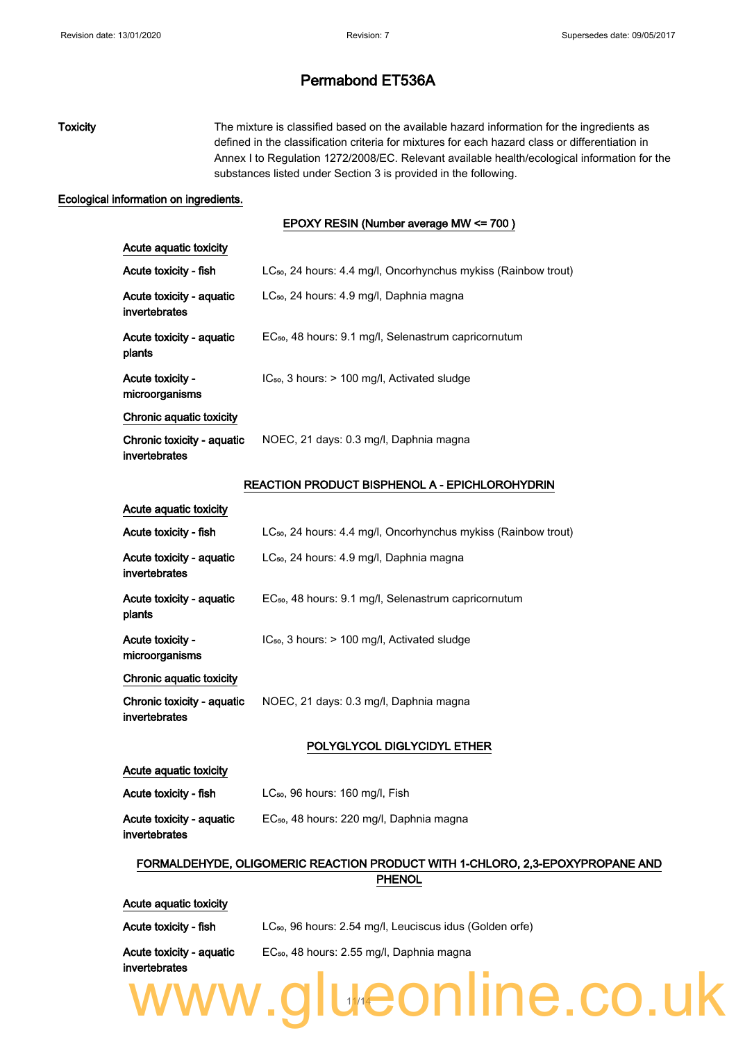## Toxicity The mixture is classified based on the available hazard information for the ingredients as defined in the classification criteria for mixtures for each hazard class or differentiation in Annex I to Regulation 1272/2008/EC. Relevant available health/ecological information for the substances listed under Section 3 is provided in the following.

#### Ecological information on ingredients.

#### EPOXY RESIN (Number average MW <= 700 )

| Acute aquatic toxicity                      |                                                                            |
|---------------------------------------------|----------------------------------------------------------------------------|
| Acute toxicity - fish                       | LC <sub>50</sub> , 24 hours: 4.4 mg/l, Oncorhynchus mykiss (Rainbow trout) |
| Acute toxicity - aquatic<br>invertebrates   | LC <sub>50</sub> , 24 hours: 4.9 mg/l, Daphnia magna                       |
| Acute toxicity - aquatic<br>plants          | EC <sub>50</sub> , 48 hours: 9.1 mg/l, Selenastrum capricornutum           |
| Acute toxicity -<br>microorganisms          | $IC_{50}$ , 3 hours: $> 100$ mg/l, Activated sludge                        |
| Chronic aquatic toxicity                    |                                                                            |
| Chronic toxicity - aquatic<br>invertebrates | NOEC, 21 days: 0.3 mg/l, Daphnia magna                                     |
|                                             | <b>REACTION PRODUCT BISPHENOL A - EPICHLOROHYDRIN</b>                      |
| Acute aquatic toxicity                      |                                                                            |
| Acute toxicity - fish                       | LC <sub>50</sub> , 24 hours: 4.4 mg/l, Oncorhynchus mykiss (Rainbow trout) |
| Acute toxicity - aquatic<br>invertebrates   | LC <sub>50</sub> , 24 hours: 4.9 mg/l, Daphnia magna                       |
| Acute toxicity - aquatic<br>plants          | EC <sub>50</sub> , 48 hours: 9.1 mg/l, Selenastrum capricornutum           |
| Acute toxicity -<br>microorganisms          | IC <sub>50</sub> , 3 hours: > 100 mg/l, Activated sludge                   |
| Chronic aquatic toxicity                    |                                                                            |
| Chronic toxicity - aquatic<br>invertebrates | NOEC, 21 days: 0.3 mg/l, Daphnia magna                                     |
|                                             | POLYGLYCOL DIGLYCIDYL ETHER                                                |
| Acute aquatic toxicity                      |                                                                            |
| Acute toxicity - fish                       | $LC_{50}$ , 96 hours: 160 mg/l, Fish                                       |
| Acute toxicity - aquatic<br>invertebrates   | EC <sub>50</sub> , 48 hours: 220 mg/l, Daphnia magna                       |

### FORMALDEHYDE, OLIGOMERIC REACTION PRODUCT WITH 1-CHLORO, 2,3-EPOXYPROPANE AND PHENOL

Acute aquatic toxicity

Acute toxicity - fish LC<sub>50</sub>, 96 hours: 2.54 mg/l, Leuciscus idus (Golden orfe)

Acute toxicity - aquatic EC₅₀, 48 hours: 2.55 mg/l, Daphnia magna

## invertebrates www.glueonline.co.uk 14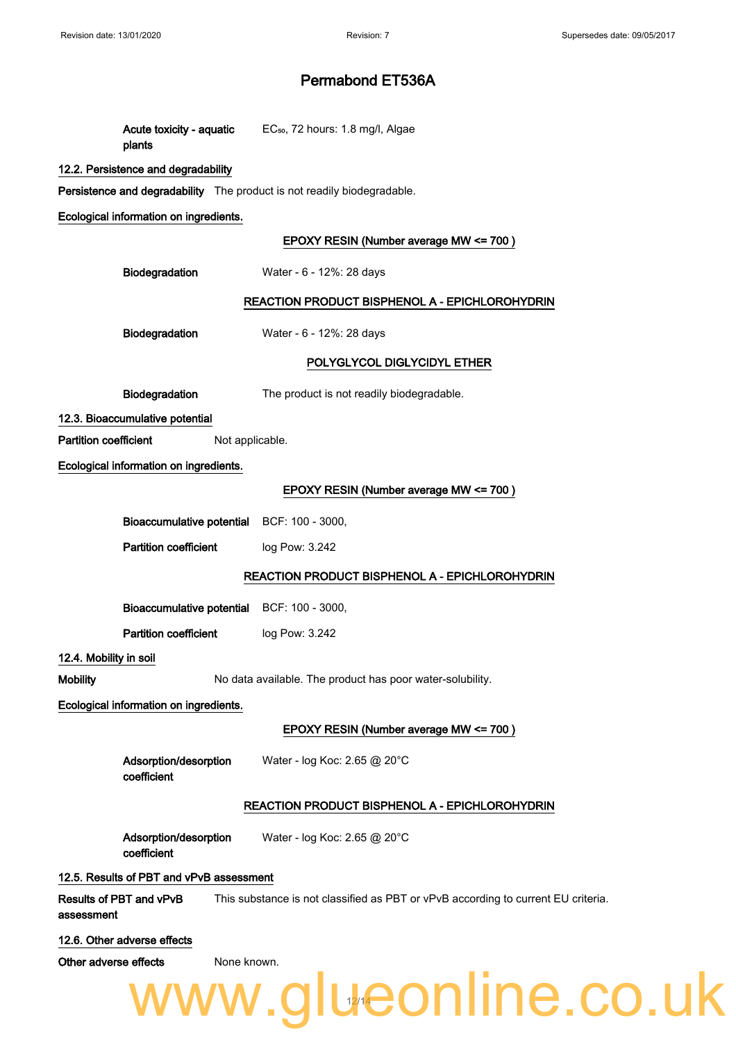| plants                                                                  | Acute toxicity - aquatic EC <sub>50</sub> , 72 hours: 1.8 mg/l, Algae             |
|-------------------------------------------------------------------------|-----------------------------------------------------------------------------------|
| 12.2. Persistence and degradability                                     |                                                                                   |
| Persistence and degradability The product is not readily biodegradable. |                                                                                   |
| Ecological information on ingredients.                                  |                                                                                   |
|                                                                         | EPOXY RESIN (Number average MW <= 700)                                            |
| Biodegradation                                                          | Water - 6 - 12%: 28 days                                                          |
|                                                                         | <b>REACTION PRODUCT BISPHENOL A - EPICHLOROHYDRIN</b>                             |
| Biodegradation                                                          | Water - 6 - 12%: 28 days                                                          |
|                                                                         | POLYGLYCOL DIGLYCIDYL ETHER                                                       |
| Biodegradation                                                          | The product is not readily biodegradable.                                         |
| 12.3. Bioaccumulative potential                                         |                                                                                   |
| <b>Partition coefficient</b><br>Not applicable.                         |                                                                                   |
| Ecological information on ingredients.                                  |                                                                                   |
|                                                                         | EPOXY RESIN (Number average MW <= 700)                                            |
| <b>Bioaccumulative potential</b>                                        | BCF: 100 - 3000,                                                                  |
| <b>Partition coefficient</b>                                            | log Pow: 3.242                                                                    |
|                                                                         | <b>REACTION PRODUCT BISPHENOL A - EPICHLOROHYDRIN</b>                             |
| Bioaccumulative potential BCF: 100 - 3000,                              |                                                                                   |
| <b>Partition coefficient</b>                                            | log Pow: 3.242                                                                    |
| 12.4. Mobility in soil                                                  |                                                                                   |
| <b>Mobility</b>                                                         | No data available. The product has poor water-solubility.                         |
| Ecological information on ingredients.                                  |                                                                                   |
|                                                                         | EPOXY RESIN (Number average MW <= 700)                                            |
| Adsorption/desorption<br>coefficient                                    | Water - log Koc: 2.65 @ 20°C                                                      |
|                                                                         | REACTION PRODUCT BISPHENOL A - EPICHLOROHYDRIN                                    |
| Adsorption/desorption<br>coefficient                                    | Water - log Koc: 2.65 @ 20°C                                                      |
| 12.5. Results of PBT and vPvB assessment                                |                                                                                   |
| Results of PBT and vPvB<br>assessment                                   | This substance is not classified as PBT or vPvB according to current EU criteria. |
| 12.6. Other adverse effects                                             |                                                                                   |
| Other adverse effects<br>None known.                                    |                                                                                   |

www.glueonline.co.uk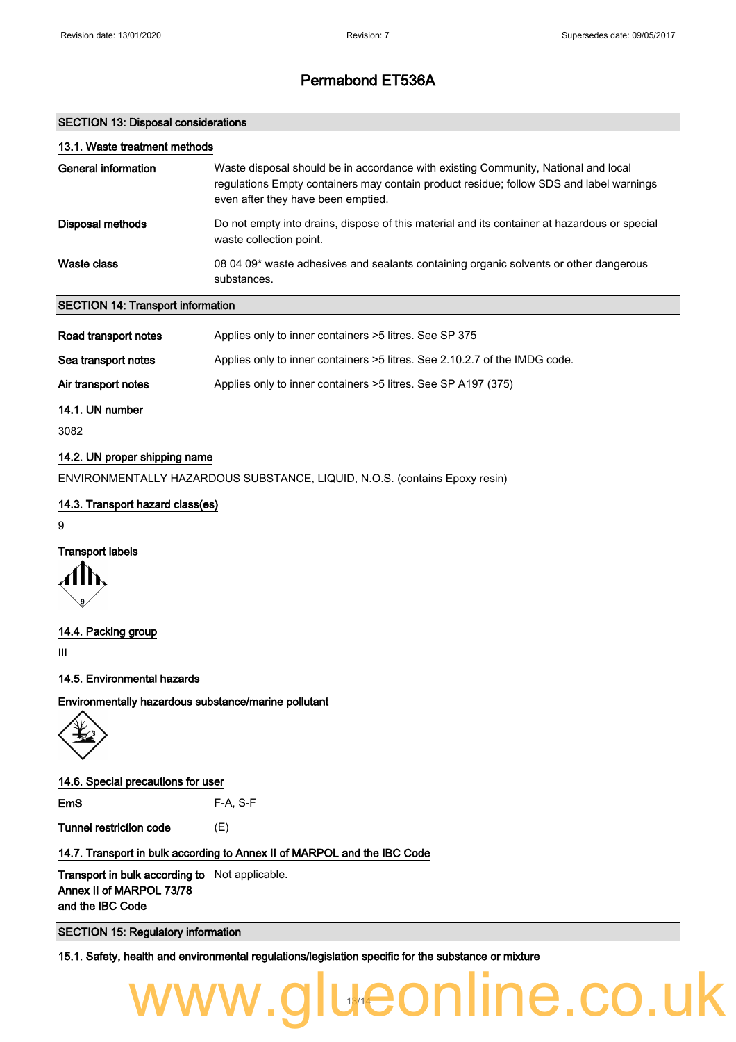1e.co.l

## Permabond ET536A

#### SECTION 13: Disposal considerations

| 13.1. Waste treatment methods               |                                                                                                                                                                                                                     |
|---------------------------------------------|---------------------------------------------------------------------------------------------------------------------------------------------------------------------------------------------------------------------|
| General information                         | Waste disposal should be in accordance with existing Community, National and local<br>requiations Empty containers may contain product residue; follow SDS and label warnings<br>even after they have been emptied. |
| Disposal methods                            | Do not empty into drains, dispose of this material and its container at hazardous or special<br>waste collection point.                                                                                             |
| Waste class                                 | 08 04 09* waste adhesives and sealants containing organic solvents or other dangerous<br>substances.                                                                                                                |
| <b>SECTION 14: Transport information</b>    |                                                                                                                                                                                                                     |
| Road transport notes<br>Sea transport notes | Applies only to inner containers >5 litres. See SP 375<br>Applies only to inner containers >5 litres. See 2.10.2.7 of the IMDG code.                                                                                |

Air transport notes Applies only to inner containers >5 litres. See SP A197 (375)

14.1. UN number

3082

#### 14.2. UN proper shipping name

ENVIRONMENTALLY HAZARDOUS SUBSTANCE, LIQUID, N.O.S. (contains Epoxy resin)

#### 14.3. Transport hazard class(es)

9

### Transport labels

14.4. Packing group

III

#### 14.5. Environmental hazards

Environmentally hazardous substance/marine pollutant



#### 14.6. Special precautions for user

EmS F-A, S-F

Tunnel restriction code (E)

#### 14.7. Transport in bulk according to Annex II of MARPOL and the IBC Code

**Transport in bulk according to** Not applicable. Annex II of MARPOL 73/78 and the IBC Code

SECTION 15: Regulatory information

15.1. Safety, health and environmental regulations/legislation specific for the substance or mixture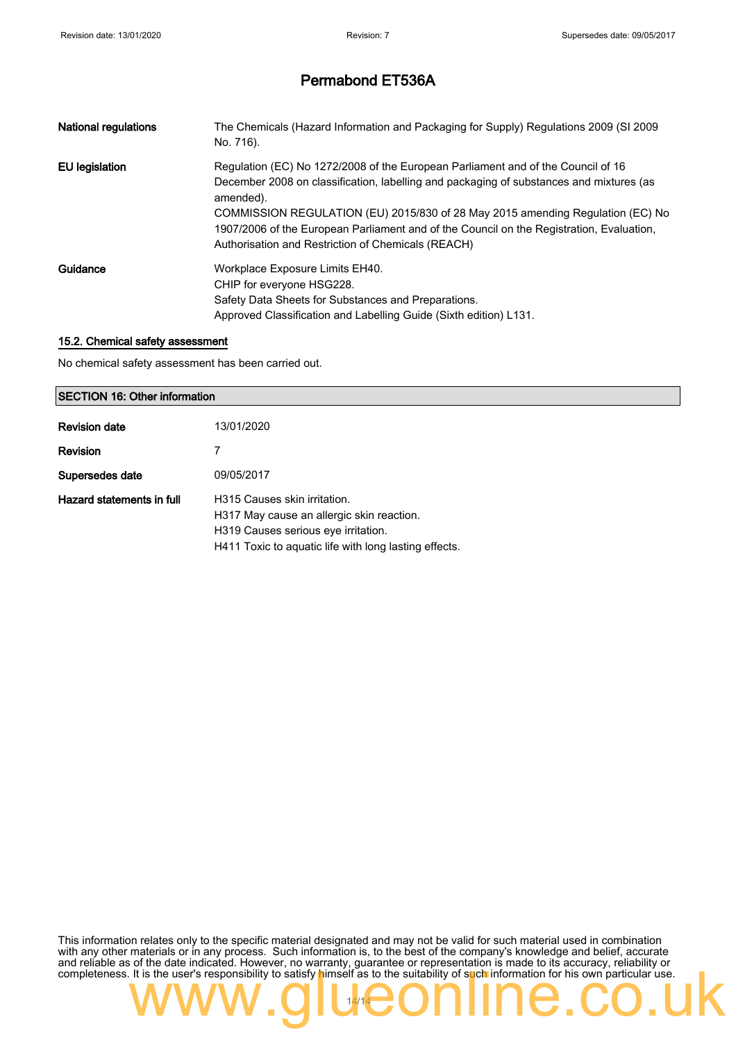| <b>National regulations</b> | The Chemicals (Hazard Information and Packaging for Supply) Regulations 2009 (SI 2009<br>No. 716).                                                                                                                               |
|-----------------------------|----------------------------------------------------------------------------------------------------------------------------------------------------------------------------------------------------------------------------------|
| EU legislation              | Regulation (EC) No 1272/2008 of the European Parliament and of the Council of 16<br>December 2008 on classification, labelling and packaging of substances and mixtures (as<br>amended).                                         |
|                             | COMMISSION REGULATION (EU) 2015/830 of 28 May 2015 amending Regulation (EC) No<br>1907/2006 of the European Parliament and of the Council on the Registration, Evaluation,<br>Authorisation and Restriction of Chemicals (REACH) |
| Guidance                    | Workplace Exposure Limits EH40.                                                                                                                                                                                                  |
|                             | CHIP for everyone HSG228.                                                                                                                                                                                                        |
|                             | Safety Data Sheets for Substances and Preparations.                                                                                                                                                                              |
|                             | Approved Classification and Labelling Guide (Sixth edition) L131.                                                                                                                                                                |

#### 15.2. Chemical safety assessment

No chemical safety assessment has been carried out.

#### SECTION 16: Other information

| <b>Revision date</b>      | 13/01/2020                                                                                                                                                                |
|---------------------------|---------------------------------------------------------------------------------------------------------------------------------------------------------------------------|
| <b>Revision</b>           |                                                                                                                                                                           |
| Supersedes date           | 09/05/2017                                                                                                                                                                |
| Hazard statements in full | H315 Causes skin irritation.<br>H317 May cause an allergic skin reaction.<br>H319 Causes serious eye irritation.<br>H411 Toxic to aquatic life with long lasting effects. |

This information relates only to the specific material designated and may not be valid for such material used in combination with any other materials or in any process. Such information is, to the best of the company's knowledge and belief, accurate and reliable as of the date indicated. However, no warranty, guarantee or representation is made to its accuracy, reliability or completeness. It is the user's responsibility to satisfy himself as to the suitability of such information for his own particular use.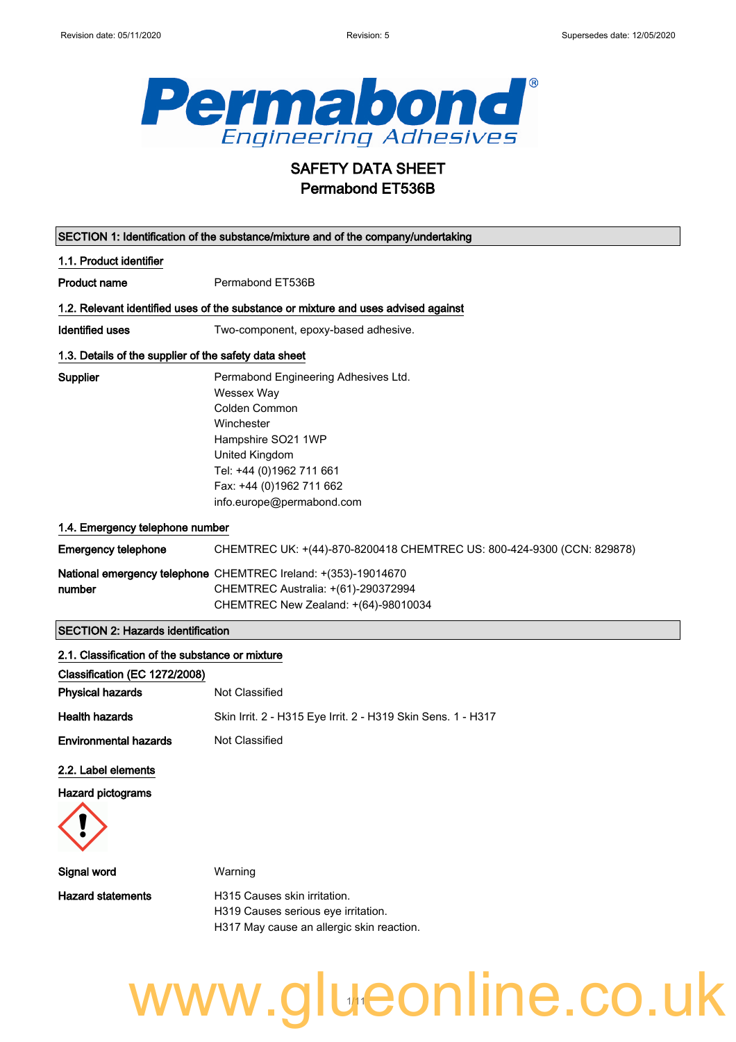

## SAFETY DATA SHEET Permabond ET536B

| SECTION 1: Identification of the substance/mixture and of the company/undertaking |                                                                                    |  |
|-----------------------------------------------------------------------------------|------------------------------------------------------------------------------------|--|
| 1.1. Product identifier                                                           |                                                                                    |  |
| <b>Product name</b>                                                               | Permabond ET536B                                                                   |  |
|                                                                                   | 1.2. Relevant identified uses of the substance or mixture and uses advised against |  |
| <b>Identified uses</b>                                                            | Two-component, epoxy-based adhesive.                                               |  |
| 1.3. Details of the supplier of the safety data sheet                             |                                                                                    |  |
| <b>Supplier</b>                                                                   | Permabond Engineering Adhesives Ltd.                                               |  |
|                                                                                   | Wessex Way                                                                         |  |
|                                                                                   | Colden Common                                                                      |  |
|                                                                                   | Winchester                                                                         |  |
|                                                                                   | Hampshire SO21 1WP                                                                 |  |
|                                                                                   | United Kingdom                                                                     |  |
|                                                                                   | Tel: +44 (0)1962 711 661                                                           |  |
|                                                                                   | Fax: +44 (0)1962 711 662                                                           |  |
|                                                                                   | info.europe@permabond.com                                                          |  |
| 1.4. Emergency telephone number                                                   |                                                                                    |  |
| <b>Emergency telephone</b>                                                        | CHEMTREC UK: +(44)-870-8200418 CHEMTREC US: 800-424-9300 (CCN: 829878)             |  |
|                                                                                   | National emergency telephone CHEMTREC Ireland: +(353)-19014670                     |  |
| number                                                                            | CHEMTREC Australia: +(61)-290372994                                                |  |
|                                                                                   | CHEMTREC New Zealand: +(64)-98010034                                               |  |
| <b>SECTION 2: Hazards identification</b>                                          |                                                                                    |  |
| 2.1. Classification of the substance or mixture                                   |                                                                                    |  |
| Classification (EC 1272/2008)                                                     |                                                                                    |  |
| <b>Physical hazards</b>                                                           | Not Classified                                                                     |  |
| <b>Health hazards</b>                                                             | Skin Irrit. 2 - H315 Eye Irrit. 2 - H319 Skin Sens. 1 - H317                       |  |
| <b>Environmental hazards</b>                                                      | Not Classified                                                                     |  |
| 2.2. Label elements                                                               |                                                                                    |  |
| <b>Hazard pictograms</b>                                                          |                                                                                    |  |
|                                                                                   |                                                                                    |  |
| Signal word                                                                       | Warning                                                                            |  |
| <b>Hazard statements</b>                                                          | H315 Causes skin irritation.                                                       |  |
|                                                                                   | H319 Causes serious eye irritation.                                                |  |
|                                                                                   | H317 May cause an allergic skin reaction.                                          |  |
|                                                                                   |                                                                                    |  |

www.glueonline.co.uk 1/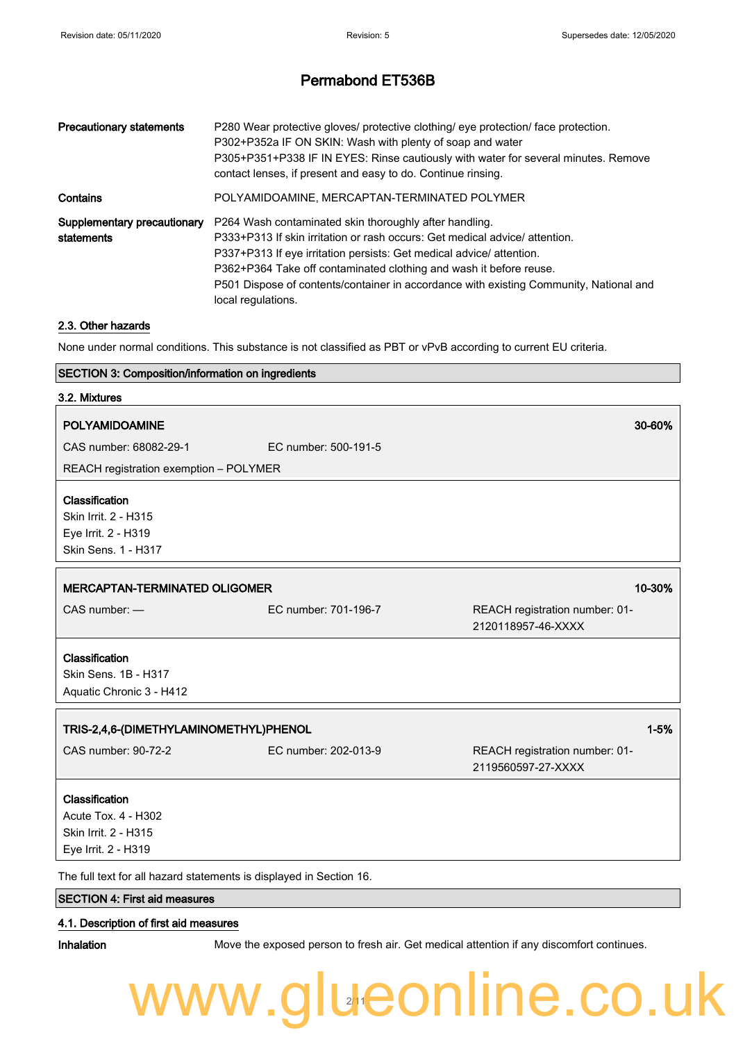| <b>Precautionary statements</b>           | P280 Wear protective gloves/ protective clothing/ eye protection/ face protection.<br>P302+P352a IF ON SKIN: Wash with plenty of soap and water<br>P305+P351+P338 IF IN EYES: Rinse cautiously with water for several minutes. Remove<br>contact lenses, if present and easy to do. Continue rinsing.                                                                                              |
|-------------------------------------------|----------------------------------------------------------------------------------------------------------------------------------------------------------------------------------------------------------------------------------------------------------------------------------------------------------------------------------------------------------------------------------------------------|
| Contains                                  | POLYAMIDOAMINE, MERCAPTAN-TERMINATED POLYMER                                                                                                                                                                                                                                                                                                                                                       |
| Supplementary precautionary<br>statements | P264 Wash contaminated skin thoroughly after handling.<br>P333+P313 If skin irritation or rash occurs: Get medical advice/ attention.<br>P337+P313 If eye irritation persists: Get medical advice/attention.<br>P362+P364 Take off contaminated clothing and wash it before reuse.<br>P501 Dispose of contents/container in accordance with existing Community, National and<br>local regulations. |

#### 2.3. Other hazards

None under normal conditions. This substance is not classified as PBT or vPvB according to current EU criteria.

#### SECTION 3: Composition/information on ingredients

| 3.2. Mixtures                                                                        |                      |                                                      |
|--------------------------------------------------------------------------------------|----------------------|------------------------------------------------------|
| <b>POLYAMIDOAMINE</b>                                                                |                      | 30-60%                                               |
| CAS number: 68082-29-1                                                               | EC number: 500-191-5 |                                                      |
| REACH registration exemption - POLYMER                                               |                      |                                                      |
| Classification<br>Skin Irrit. 2 - H315<br>Eye Irrit. 2 - H319<br>Skin Sens. 1 - H317 |                      |                                                      |
| 10-30%<br><b>MERCAPTAN-TERMINATED OLIGOMER</b>                                       |                      |                                                      |
| CAS number: -                                                                        | EC number: 701-196-7 | REACH registration number: 01-<br>2120118957-46-XXXX |
| Classification<br>Skin Sens. 1B - H317<br>Aquatic Chronic 3 - H412                   |                      |                                                      |
| $1 - 5%$<br>TRIS-2,4,6-(DIMETHYLAMINOMETHYL)PHENOL                                   |                      |                                                      |
| CAS number: 90-72-2                                                                  | EC number: 202-013-9 | REACH registration number: 01-<br>2119560597-27-XXXX |
| Classification<br>Acute Tox. 4 - H302<br>Skin Irrit. 2 - H315<br>Eye Irrit. 2 - H319 |                      |                                                      |
| The full text for all hazard statements is displayed in Section 16.                  |                      |                                                      |

### SECTION 4: First aid measures

#### 4.1. Description of first aid measures

Inhalation Move the exposed person to fresh air. Get medical attention if any discomfort continues.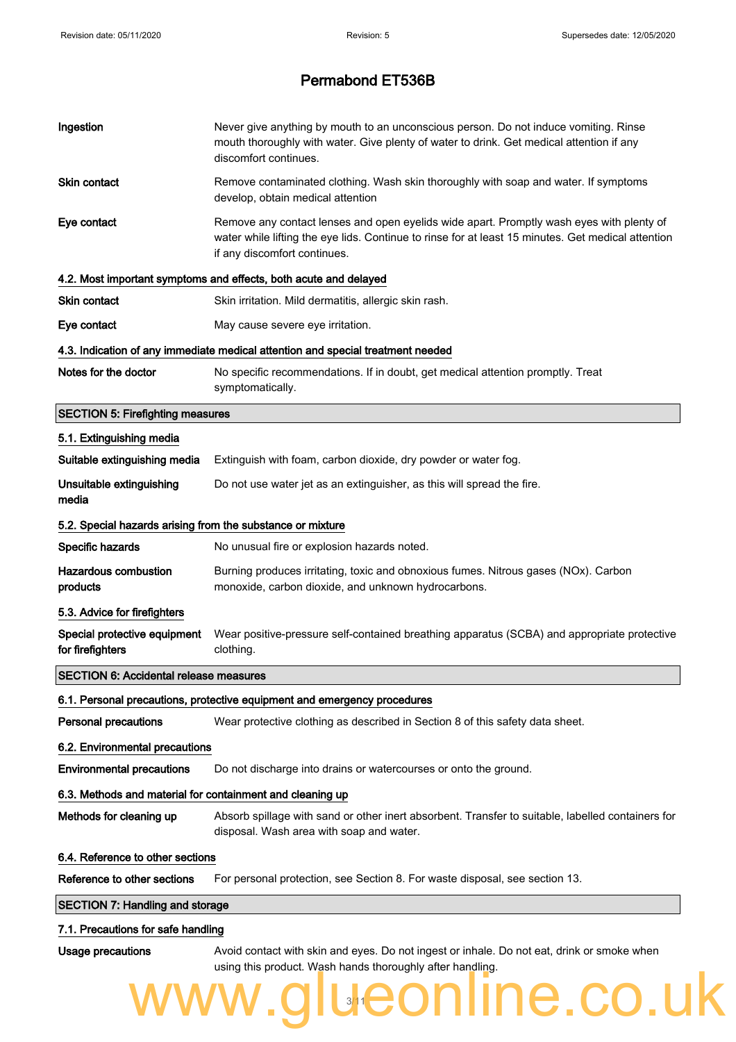| Ingestion                                                  | Never give anything by mouth to an unconscious person. Do not induce vomiting. Rinse<br>mouth thoroughly with water. Give plenty of water to drink. Get medical attention if any<br>discomfort continues.                      |
|------------------------------------------------------------|--------------------------------------------------------------------------------------------------------------------------------------------------------------------------------------------------------------------------------|
| <b>Skin contact</b>                                        | Remove contaminated clothing. Wash skin thoroughly with soap and water. If symptoms<br>develop, obtain medical attention                                                                                                       |
| Eye contact                                                | Remove any contact lenses and open eyelids wide apart. Promptly wash eyes with plenty of<br>water while lifting the eye lids. Continue to rinse for at least 15 minutes. Get medical attention<br>if any discomfort continues. |
|                                                            | 4.2. Most important symptoms and effects, both acute and delayed                                                                                                                                                               |
| Skin contact                                               | Skin irritation. Mild dermatitis, allergic skin rash.                                                                                                                                                                          |
| Eye contact                                                | May cause severe eye irritation.                                                                                                                                                                                               |
|                                                            | 4.3. Indication of any immediate medical attention and special treatment needed                                                                                                                                                |
| Notes for the doctor                                       | No specific recommendations. If in doubt, get medical attention promptly. Treat<br>symptomatically.                                                                                                                            |
| <b>SECTION 5: Firefighting measures</b>                    |                                                                                                                                                                                                                                |
| 5.1. Extinguishing media                                   |                                                                                                                                                                                                                                |
| Suitable extinguishing media                               | Extinguish with foam, carbon dioxide, dry powder or water fog.                                                                                                                                                                 |
| Unsuitable extinguishing<br>media                          | Do not use water jet as an extinguisher, as this will spread the fire.                                                                                                                                                         |
| 5.2. Special hazards arising from the substance or mixture |                                                                                                                                                                                                                                |
| Specific hazards                                           | No unusual fire or explosion hazards noted.                                                                                                                                                                                    |
| <b>Hazardous combustion</b><br>products                    | Burning produces irritating, toxic and obnoxious fumes. Nitrous gases (NOx). Carbon<br>monoxide, carbon dioxide, and unknown hydrocarbons.                                                                                     |
| 5.3. Advice for firefighters                               |                                                                                                                                                                                                                                |
| Special protective equipment<br>for firefighters           | Wear positive-pressure self-contained breathing apparatus (SCBA) and appropriate protective<br>clothing.                                                                                                                       |
| <b>SECTION 6: Accidental release measures</b>              |                                                                                                                                                                                                                                |
|                                                            | 6.1. Personal precautions, protective equipment and emergency procedures                                                                                                                                                       |
| <b>Personal precautions</b>                                | Wear protective clothing as described in Section 8 of this safety data sheet.                                                                                                                                                  |
| 6.2. Environmental precautions                             |                                                                                                                                                                                                                                |
| <b>Environmental precautions</b>                           | Do not discharge into drains or watercourses or onto the ground.                                                                                                                                                               |
| 6.3. Methods and material for containment and cleaning up  |                                                                                                                                                                                                                                |
| Methods for cleaning up                                    | Absorb spillage with sand or other inert absorbent. Transfer to suitable, labelled containers for<br>disposal. Wash area with soap and water.                                                                                  |
| 6.4. Reference to other sections                           |                                                                                                                                                                                                                                |
| Reference to other sections                                | For personal protection, see Section 8. For waste disposal, see section 13.                                                                                                                                                    |
| <b>SECTION 7: Handling and storage</b>                     |                                                                                                                                                                                                                                |
| 7.1. Precautions for safe handling                         |                                                                                                                                                                                                                                |
| Usage precautions                                          | Avoid contact with skin and eyes. Do not ingest or inhale. Do not eat, drink or smoke when<br>using this product. Wash hands thoroughly after handling.                                                                        |
|                                                            | www.glueonline.co.uk                                                                                                                                                                                                           |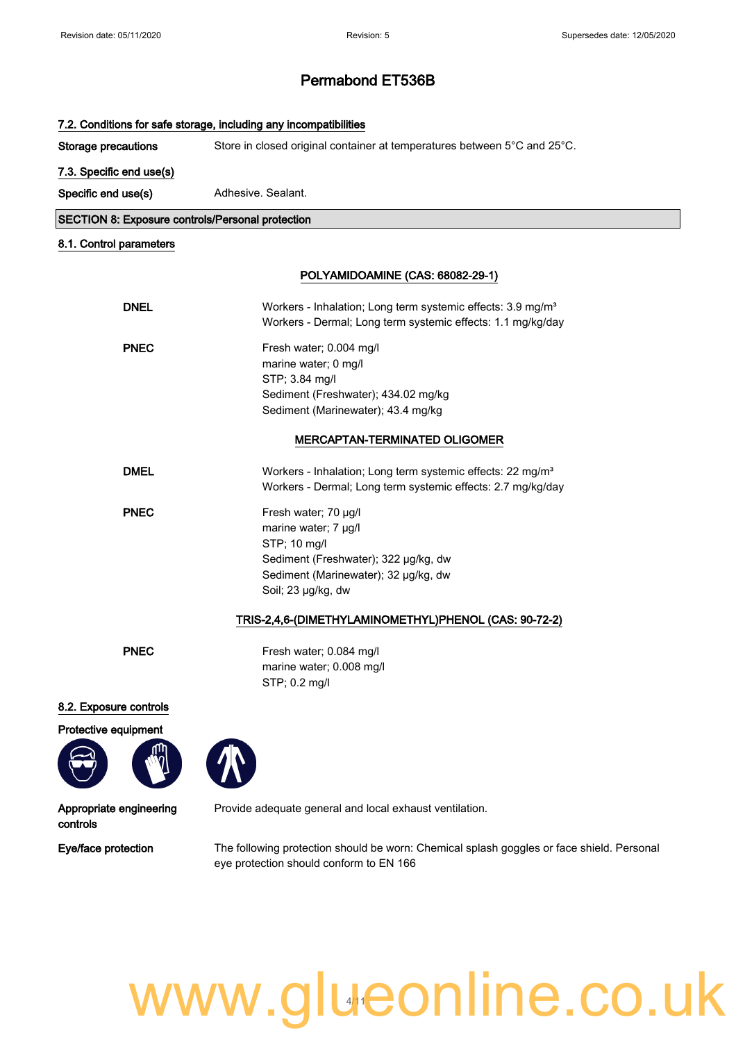|                                                         | 7.2. Conditions for safe storage, including any incompatibilities                                                                                                  |  |
|---------------------------------------------------------|--------------------------------------------------------------------------------------------------------------------------------------------------------------------|--|
| <b>Storage precautions</b>                              | Store in closed original container at temperatures between 5°C and 25°C.                                                                                           |  |
| 7.3. Specific end use(s)                                |                                                                                                                                                                    |  |
| Specific end use(s)                                     | Adhesive, Sealant.                                                                                                                                                 |  |
| <b>SECTION 8: Exposure controls/Personal protection</b> |                                                                                                                                                                    |  |
| 8.1. Control parameters                                 |                                                                                                                                                                    |  |
|                                                         | POLYAMIDOAMINE (CAS: 68082-29-1)                                                                                                                                   |  |
| <b>DNEL</b>                                             | Workers - Inhalation; Long term systemic effects: 3.9 mg/m <sup>3</sup><br>Workers - Dermal; Long term systemic effects: 1.1 mg/kg/day                             |  |
| <b>PNEC</b>                                             | Fresh water; 0.004 mg/l<br>marine water; 0 mg/l<br>STP; 3.84 mg/l<br>Sediment (Freshwater); 434.02 mg/kg<br>Sediment (Marinewater); 43.4 mg/kg                     |  |
|                                                         | <b>MERCAPTAN-TERMINATED OLIGOMER</b>                                                                                                                               |  |
| <b>DMEL</b>                                             | Workers - Inhalation; Long term systemic effects: 22 mg/m <sup>3</sup><br>Workers - Dermal; Long term systemic effects: 2.7 mg/kg/day                              |  |
| <b>PNEC</b>                                             | Fresh water; 70 µg/l<br>marine water; 7 µg/l<br>STP; 10 mg/l<br>Sediment (Freshwater); 322 µg/kg, dw<br>Sediment (Marinewater); 32 µg/kg, dw<br>Soil; 23 µg/kg, dw |  |
|                                                         | TRIS-2,4,6-(DIMETHYLAMINOMETHYL)PHENOL (CAS: 90-72-2)                                                                                                              |  |
| <b>PNEC</b>                                             | Fresh water; 0.084 mg/l<br>marine water; 0.008 mg/l<br>STP; 0.2 mg/l                                                                                               |  |
| 8.2. Exposure controls                                  |                                                                                                                                                                    |  |
| Protective equipment                                    |                                                                                                                                                                    |  |
| Appropriate engineering<br>controls                     | Provide adequate general and local exhaust ventilation.                                                                                                            |  |
| Eye/face protection                                     | The following protection should be worn: Chemical splash goggles or face shield. Personal<br>eye protection should conform to EN 166                               |  |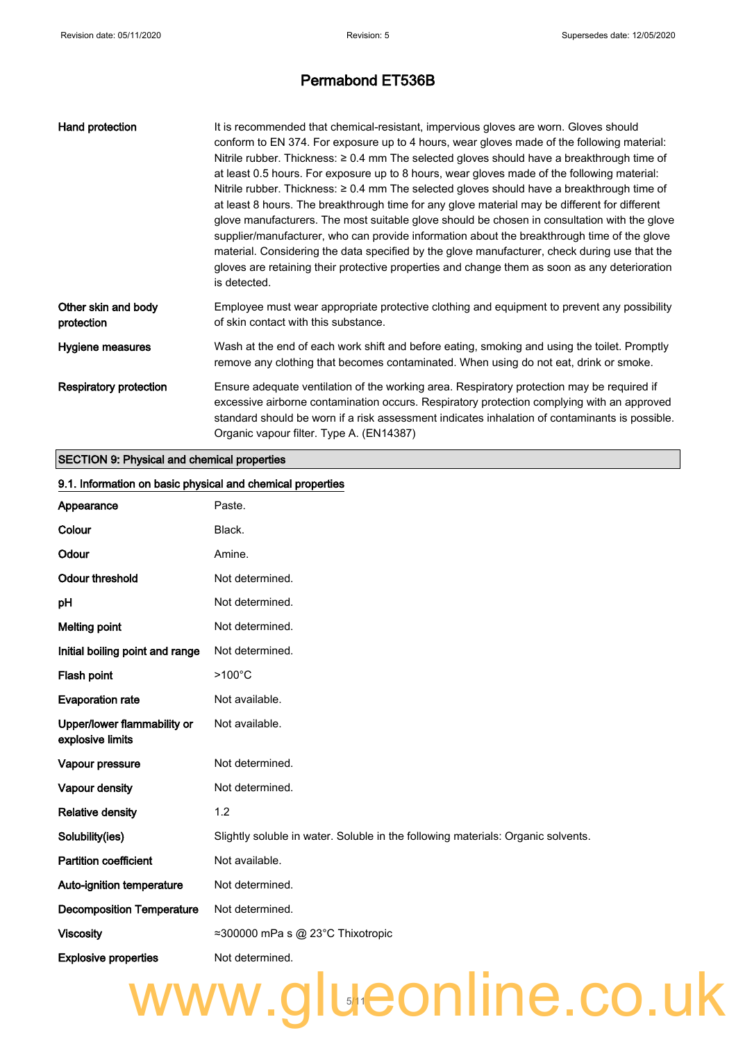| Hand protection                   | It is recommended that chemical-resistant, impervious gloves are worn. Gloves should<br>conform to EN 374. For exposure up to 4 hours, wear gloves made of the following material:<br>Nitrile rubber. Thickness: $\geq 0.4$ mm The selected gloves should have a breakthrough time of<br>at least 0.5 hours. For exposure up to 8 hours, wear gloves made of the following material:<br>Nitrile rubber. Thickness: $\geq 0.4$ mm The selected gloves should have a breakthrough time of<br>at least 8 hours. The breakthrough time for any glove material may be different for different<br>glove manufacturers. The most suitable glove should be chosen in consultation with the glove<br>supplier/manufacturer, who can provide information about the breakthrough time of the glove<br>material. Considering the data specified by the glove manufacturer, check during use that the<br>gloves are retaining their protective properties and change them as soon as any deterioration<br>is detected. |
|-----------------------------------|-----------------------------------------------------------------------------------------------------------------------------------------------------------------------------------------------------------------------------------------------------------------------------------------------------------------------------------------------------------------------------------------------------------------------------------------------------------------------------------------------------------------------------------------------------------------------------------------------------------------------------------------------------------------------------------------------------------------------------------------------------------------------------------------------------------------------------------------------------------------------------------------------------------------------------------------------------------------------------------------------------------|
| Other skin and body<br>protection | Employee must wear appropriate protective clothing and equipment to prevent any possibility<br>of skin contact with this substance.                                                                                                                                                                                                                                                                                                                                                                                                                                                                                                                                                                                                                                                                                                                                                                                                                                                                       |
| Hygiene measures                  | Wash at the end of each work shift and before eating, smoking and using the toilet. Promptly<br>remove any clothing that becomes contaminated. When using do not eat, drink or smoke.                                                                                                                                                                                                                                                                                                                                                                                                                                                                                                                                                                                                                                                                                                                                                                                                                     |
| <b>Respiratory protection</b>     | Ensure adequate ventilation of the working area. Respiratory protection may be required if<br>excessive airborne contamination occurs. Respiratory protection complying with an approved<br>standard should be worn if a risk assessment indicates inhalation of contaminants is possible.<br>Organic vapour filter. Type A. (EN14387)                                                                                                                                                                                                                                                                                                                                                                                                                                                                                                                                                                                                                                                                    |

### SECTION 9: Physical and chemical properties

| 9.1. Information on basic physical and chemical properties |                                                                                  |  |
|------------------------------------------------------------|----------------------------------------------------------------------------------|--|
| Appearance                                                 | Paste.                                                                           |  |
| Colour                                                     | Black.                                                                           |  |
| Odour                                                      | Amine.                                                                           |  |
| <b>Odour threshold</b>                                     | Not determined.                                                                  |  |
| pH                                                         | Not determined.                                                                  |  |
| <b>Melting point</b>                                       | Not determined.                                                                  |  |
| Initial boiling point and range                            | Not determined.                                                                  |  |
| Flash point                                                | $>100^{\circ}$ C                                                                 |  |
| <b>Evaporation rate</b>                                    | Not available.                                                                   |  |
| Upper/lower flammability or<br>explosive limits            | Not available.                                                                   |  |
| Vapour pressure                                            | Not determined.                                                                  |  |
| Vapour density                                             | Not determined.                                                                  |  |
| <b>Relative density</b>                                    | 1.2                                                                              |  |
| Solubility(ies)                                            | Slightly soluble in water. Soluble in the following materials: Organic solvents. |  |
| <b>Partition coefficient</b>                               | Not available.                                                                   |  |
| Auto-ignition temperature                                  | Not determined.                                                                  |  |
| <b>Decomposition Temperature</b>                           | Not determined.                                                                  |  |
| <b>Viscosity</b>                                           | ≈300000 mPa s @ 23°C Thixotropic                                                 |  |
| <b>Explosive properties</b>                                | Not determined.                                                                  |  |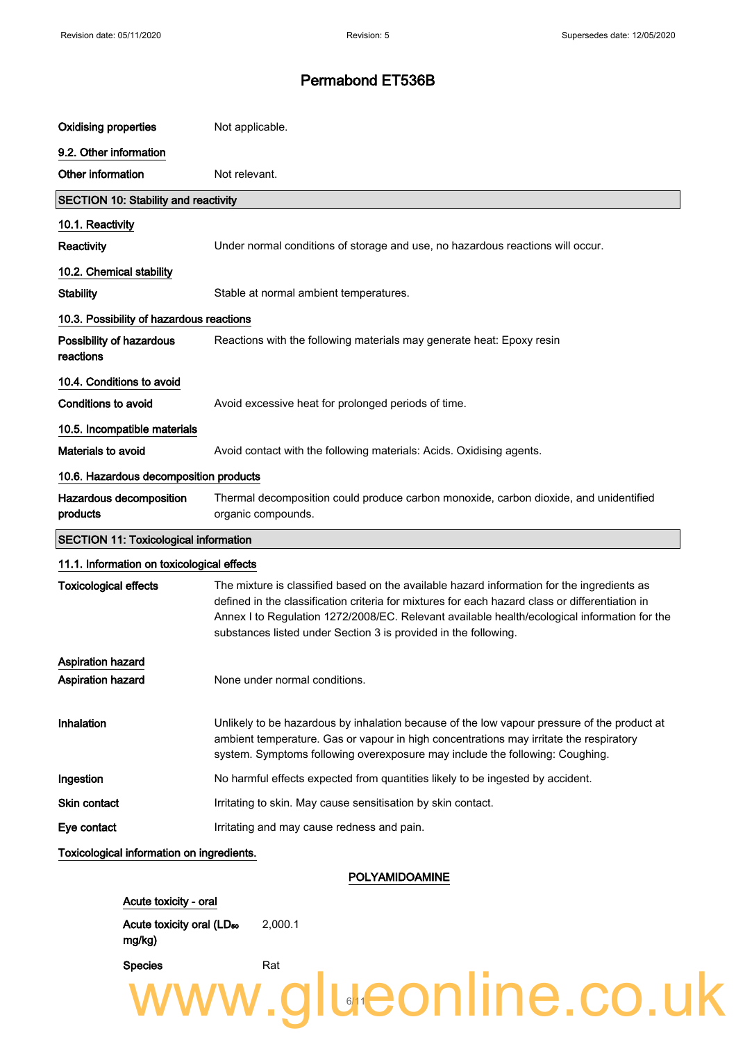| <b>Oxidising properties</b>                  | Not applicable.                                                                                                                                                                                                                                                                                                                                                  |
|----------------------------------------------|------------------------------------------------------------------------------------------------------------------------------------------------------------------------------------------------------------------------------------------------------------------------------------------------------------------------------------------------------------------|
| 9.2. Other information                       |                                                                                                                                                                                                                                                                                                                                                                  |
| Other information                            | Not relevant.                                                                                                                                                                                                                                                                                                                                                    |
| <b>SECTION 10: Stability and reactivity</b>  |                                                                                                                                                                                                                                                                                                                                                                  |
| 10.1. Reactivity                             |                                                                                                                                                                                                                                                                                                                                                                  |
| Reactivity                                   | Under normal conditions of storage and use, no hazardous reactions will occur.                                                                                                                                                                                                                                                                                   |
| 10.2. Chemical stability                     |                                                                                                                                                                                                                                                                                                                                                                  |
| <b>Stability</b>                             | Stable at normal ambient temperatures.                                                                                                                                                                                                                                                                                                                           |
| 10.3. Possibility of hazardous reactions     |                                                                                                                                                                                                                                                                                                                                                                  |
| Possibility of hazardous<br>reactions        | Reactions with the following materials may generate heat: Epoxy resin                                                                                                                                                                                                                                                                                            |
| 10.4. Conditions to avoid                    |                                                                                                                                                                                                                                                                                                                                                                  |
| <b>Conditions to avoid</b>                   | Avoid excessive heat for prolonged periods of time.                                                                                                                                                                                                                                                                                                              |
| 10.5. Incompatible materials                 |                                                                                                                                                                                                                                                                                                                                                                  |
| <b>Materials to avoid</b>                    | Avoid contact with the following materials: Acids. Oxidising agents.                                                                                                                                                                                                                                                                                             |
| 10.6. Hazardous decomposition products       |                                                                                                                                                                                                                                                                                                                                                                  |
| Hazardous decomposition<br>products          | Thermal decomposition could produce carbon monoxide, carbon dioxide, and unidentified<br>organic compounds.                                                                                                                                                                                                                                                      |
| <b>SECTION 11: Toxicological information</b> |                                                                                                                                                                                                                                                                                                                                                                  |
| 11.1. Information on toxicological effects   |                                                                                                                                                                                                                                                                                                                                                                  |
| <b>Toxicological effects</b>                 | The mixture is classified based on the available hazard information for the ingredients as<br>defined in the classification criteria for mixtures for each hazard class or differentiation in<br>Annex I to Regulation 1272/2008/EC. Relevant available health/ecological information for the<br>substances listed under Section 3 is provided in the following. |
| <b>Aspiration hazard</b>                     |                                                                                                                                                                                                                                                                                                                                                                  |
| Aspiration hazard                            | None under normal conditions.                                                                                                                                                                                                                                                                                                                                    |
| Inhalation                                   | Unlikely to be hazardous by inhalation because of the low vapour pressure of the product at<br>ambient temperature. Gas or vapour in high concentrations may irritate the respiratory<br>system. Symptoms following overexposure may include the following: Coughing.                                                                                            |
| Ingestion                                    | No harmful effects expected from quantities likely to be ingested by accident.                                                                                                                                                                                                                                                                                   |
| <b>Skin contact</b>                          | Irritating to skin. May cause sensitisation by skin contact.                                                                                                                                                                                                                                                                                                     |
| Eye contact                                  | Irritating and may cause redness and pain.                                                                                                                                                                                                                                                                                                                       |
| Toxicological information on ingredients.    |                                                                                                                                                                                                                                                                                                                                                                  |

POLYAMIDOAMINE

11

www.glueonline.co.uk

Acute toxicity - oral Acute toxicity oral (LD<sub>50</sub> 2,000.1

mg/kg)

Species **Rat**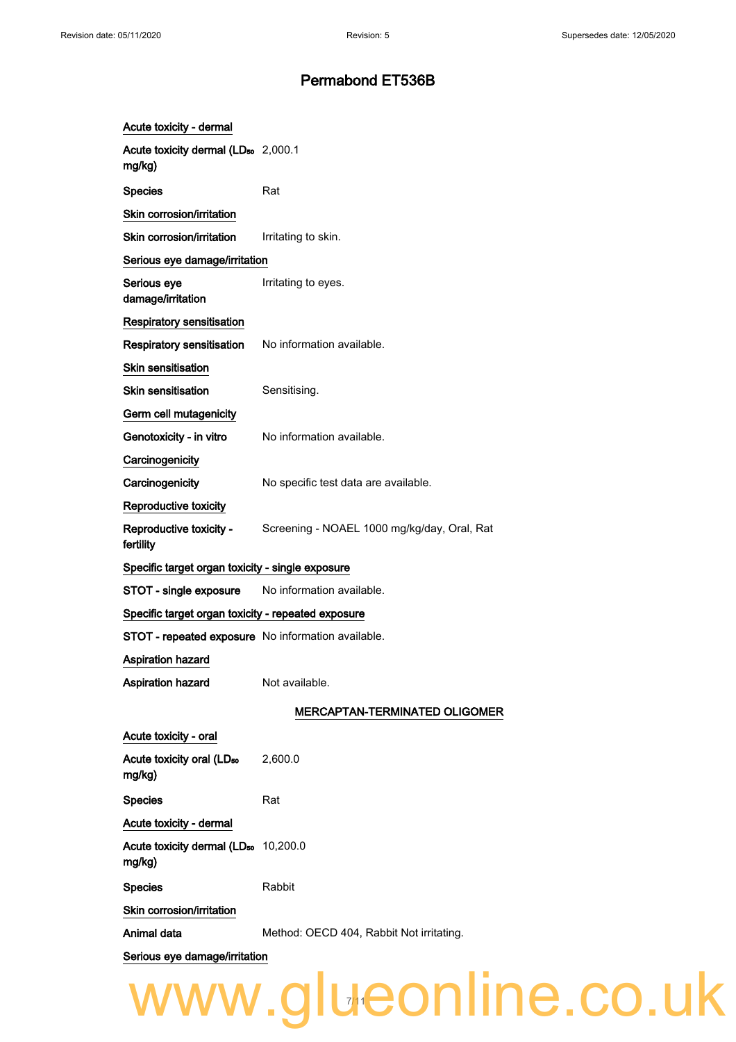| Acute toxicity - dermal                                    |                                                                     |
|------------------------------------------------------------|---------------------------------------------------------------------|
| Acute toxicity dermal (LD <sub>50</sub> 2,000.1<br>mg/kg)  |                                                                     |
| <b>Species</b>                                             | Rat                                                                 |
| Skin corrosion/irritation                                  |                                                                     |
| Skin corrosion/irritation                                  | Irritating to skin.                                                 |
| Serious eye damage/irritation                              |                                                                     |
| Serious eye<br>damage/irritation                           | Irritating to eyes.                                                 |
| <b>Respiratory sensitisation</b>                           |                                                                     |
| <b>Respiratory sensitisation</b>                           | No information available.                                           |
| Skin sensitisation                                         |                                                                     |
| <b>Skin sensitisation</b>                                  | Sensitising.                                                        |
| Germ cell mutagenicity                                     |                                                                     |
| Genotoxicity - in vitro                                    | No information available.                                           |
| Carcinogenicity                                            |                                                                     |
| Carcinogenicity                                            | No specific test data are available.                                |
| Reproductive toxicity                                      |                                                                     |
| fertility                                                  | Reproductive toxicity - Screening - NOAEL 1000 mg/kg/day, Oral, Rat |
| Specific target organ toxicity - single exposure           |                                                                     |
| STOT - single exposure                                     | No information available.                                           |
| Specific target organ toxicity - repeated exposure         |                                                                     |
| STOT - repeated exposure No information available.         |                                                                     |
| Aspiration hazard                                          |                                                                     |
| <b>Aspiration hazard</b>                                   | Not available.                                                      |
|                                                            | <b>MERCAPTAN-TERMINATED OLIGOMER</b>                                |
| Acute toxicity - oral                                      |                                                                     |
| Acute toxicity oral (LD <sub>50</sub><br>mg/kg)            | 2,600.0                                                             |
| Species                                                    | Rat                                                                 |
| Acute toxicity - dermal                                    |                                                                     |
| Acute toxicity dermal (LD <sub>50</sub> 10,200.0<br>mg/kg) |                                                                     |
| <b>Species</b>                                             | Rabbit                                                              |
| <b>Skin corrosion/irritation</b>                           |                                                                     |
| Animal data                                                | Method: OECD 404, Rabbit Not irritating.                            |
| Serious eye damage/irritation                              |                                                                     |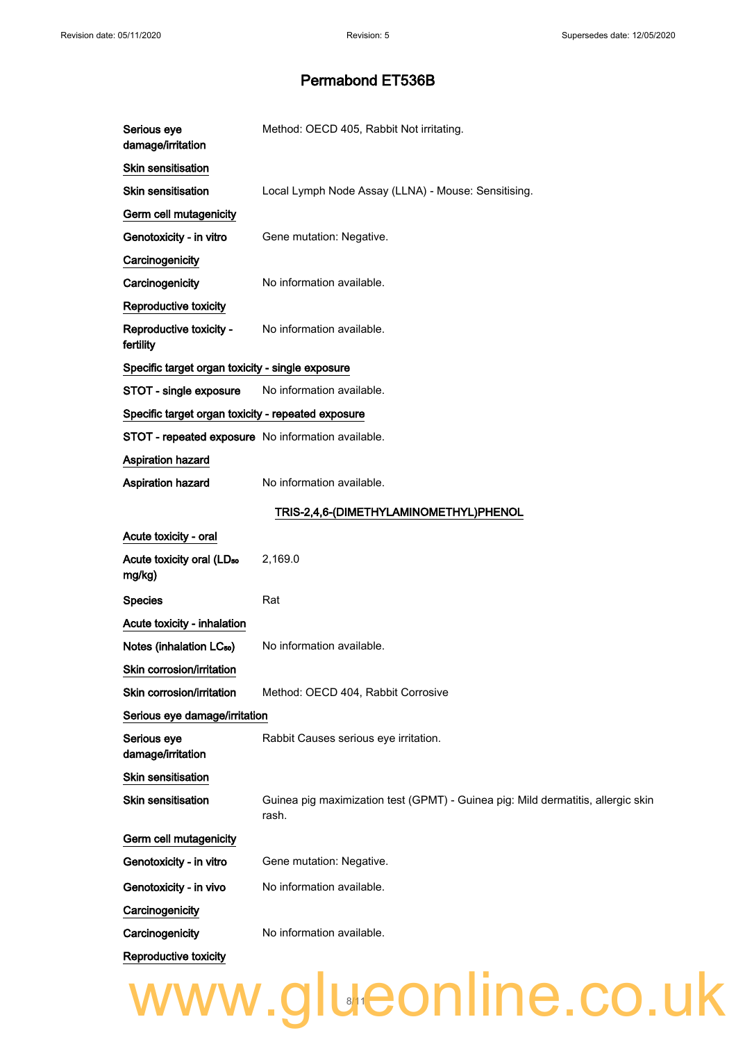| Serious eye<br>damage/irritation                   | Method: OECD 405, Rabbit Not irritating.                                                  |
|----------------------------------------------------|-------------------------------------------------------------------------------------------|
| <b>Skin sensitisation</b>                          |                                                                                           |
| <b>Skin sensitisation</b>                          | Local Lymph Node Assay (LLNA) - Mouse: Sensitising.                                       |
| Germ cell mutagenicity                             |                                                                                           |
| Genotoxicity - in vitro                            | Gene mutation: Negative.                                                                  |
| Carcinogenicity                                    |                                                                                           |
| Carcinogenicity                                    | No information available.                                                                 |
| <b>Reproductive toxicity</b>                       |                                                                                           |
| Reproductive toxicity -<br>fertility               | No information available.                                                                 |
| Specific target organ toxicity - single exposure   |                                                                                           |
| STOT - single exposure                             | No information available.                                                                 |
| Specific target organ toxicity - repeated exposure |                                                                                           |
| STOT - repeated exposure No information available. |                                                                                           |
| <b>Aspiration hazard</b>                           |                                                                                           |
| <b>Aspiration hazard</b>                           | No information available.                                                                 |
|                                                    | TRIS-2,4,6-(DIMETHYLAMINOMETHYL)PHENOL                                                    |
| Acute toxicity - oral                              |                                                                                           |
| Acute toxicity oral (LD <sub>50</sub><br>mg/kg)    | 2,169.0                                                                                   |
| <b>Species</b>                                     | Rat                                                                                       |
| Acute toxicity - inhalation                        |                                                                                           |
| Notes (inhalation LC <sub>50</sub> )               | No information available.                                                                 |
| Skin corrosion/irritation                          |                                                                                           |
| Skin corrosion/irritation                          | Method: OECD 404, Rabbit Corrosive                                                        |
| Serious eye damage/irritation                      |                                                                                           |
| Serious eye<br>damage/irritation                   | Rabbit Causes serious eye irritation.                                                     |
| Skin sensitisation                                 |                                                                                           |
| <b>Skin sensitisation</b>                          | Guinea pig maximization test (GPMT) - Guinea pig: Mild dermatitis, allergic skin<br>rash. |
| Germ cell mutagenicity                             |                                                                                           |
| Genotoxicity - in vitro                            | Gene mutation: Negative.                                                                  |
| Genotoxicity - in vivo                             | No information available.                                                                 |
| Carcinogenicity                                    |                                                                                           |
| Carcinogenicity                                    | No information available.                                                                 |
| Reproductive toxicity                              |                                                                                           |
|                                                    | www.glueonline.co.uk                                                                      |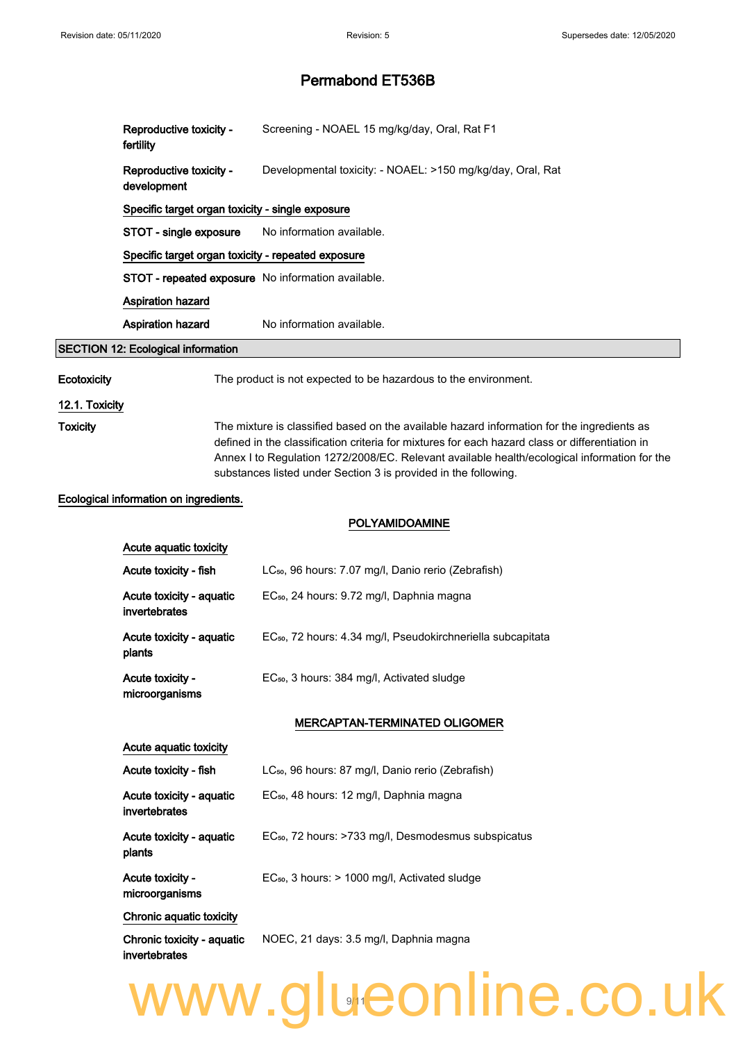|                 | Reproductive toxicity -<br>fertility                                    | Screening - NOAEL 15 mg/kg/day, Oral, Rat F1                                                                                                                                                                                                                                                                                                                     |  |  |  |
|-----------------|-------------------------------------------------------------------------|------------------------------------------------------------------------------------------------------------------------------------------------------------------------------------------------------------------------------------------------------------------------------------------------------------------------------------------------------------------|--|--|--|
|                 | Reproductive toxicity -<br>development                                  | Developmental toxicity: - NOAEL: >150 mg/kg/day, Oral, Rat                                                                                                                                                                                                                                                                                                       |  |  |  |
|                 | Specific target organ toxicity - single exposure                        |                                                                                                                                                                                                                                                                                                                                                                  |  |  |  |
|                 | STOT - single exposure                                                  | No information available.                                                                                                                                                                                                                                                                                                                                        |  |  |  |
|                 | Specific target organ toxicity - repeated exposure                      |                                                                                                                                                                                                                                                                                                                                                                  |  |  |  |
|                 |                                                                         | STOT - repeated exposure No information available.                                                                                                                                                                                                                                                                                                               |  |  |  |
|                 | <b>Aspiration hazard</b>                                                |                                                                                                                                                                                                                                                                                                                                                                  |  |  |  |
|                 | Aspiration hazard                                                       | No information available.                                                                                                                                                                                                                                                                                                                                        |  |  |  |
|                 | <b>SECTION 12: Ecological information</b>                               |                                                                                                                                                                                                                                                                                                                                                                  |  |  |  |
| Ecotoxicity     |                                                                         | The product is not expected to be hazardous to the environment.                                                                                                                                                                                                                                                                                                  |  |  |  |
| 12.1. Toxicity  |                                                                         |                                                                                                                                                                                                                                                                                                                                                                  |  |  |  |
| <b>Toxicity</b> |                                                                         | The mixture is classified based on the available hazard information for the ingredients as<br>defined in the classification criteria for mixtures for each hazard class or differentiation in<br>Annex I to Regulation 1272/2008/EC. Relevant available health/ecological information for the<br>substances listed under Section 3 is provided in the following. |  |  |  |
|                 | Ecological information on ingredients.                                  |                                                                                                                                                                                                                                                                                                                                                                  |  |  |  |
|                 |                                                                         | <b>POLYAMIDOAMINE</b>                                                                                                                                                                                                                                                                                                                                            |  |  |  |
|                 | Acute aquatic toxicity                                                  |                                                                                                                                                                                                                                                                                                                                                                  |  |  |  |
|                 | Acute toxicity - fish                                                   | LC <sub>50</sub> , 96 hours: 7.07 mg/l, Danio rerio (Zebrafish)                                                                                                                                                                                                                                                                                                  |  |  |  |
|                 | Acute toxicity - aquatic<br>invertebrates                               | EC <sub>50</sub> , 24 hours: 9.72 mg/l, Daphnia magna                                                                                                                                                                                                                                                                                                            |  |  |  |
|                 | Acute toxicity - aquatic<br>plants                                      | EC <sub>50</sub> , 72 hours: 4.34 mg/l, Pseudokirchneriella subcapitata                                                                                                                                                                                                                                                                                          |  |  |  |
|                 | Acute toxicity -<br>microorganisms                                      | EC <sub>50</sub> , 3 hours: 384 mg/l, Activated sludge                                                                                                                                                                                                                                                                                                           |  |  |  |
|                 |                                                                         | <b>MERCAPTAN-TERMINATED OLIGOMER</b>                                                                                                                                                                                                                                                                                                                             |  |  |  |
|                 | Acute aquatic toxicity                                                  |                                                                                                                                                                                                                                                                                                                                                                  |  |  |  |
|                 | Acute toxicity - fish                                                   | LC <sub>50</sub> , 96 hours: 87 mg/l, Danio rerio (Zebrafish)                                                                                                                                                                                                                                                                                                    |  |  |  |
|                 | Acute toxicity - aquatic<br>invertebrates                               | EC <sub>50</sub> , 48 hours: 12 mg/l, Daphnia magna                                                                                                                                                                                                                                                                                                              |  |  |  |
|                 | Acute toxicity - aquatic<br>plants                                      | EC <sub>50</sub> , 72 hours: >733 mg/l, Desmodesmus subspicatus                                                                                                                                                                                                                                                                                                  |  |  |  |
|                 | Acute toxicity -<br>microorganisms                                      | EC <sub>50</sub> , 3 hours: > 1000 mg/l, Activated sludge                                                                                                                                                                                                                                                                                                        |  |  |  |
|                 | Chronic aquatic toxicity<br>Chronic toxicity - aquatic<br>invertebrates | NOEC, 21 days: 3.5 mg/l, Daphnia magna                                                                                                                                                                                                                                                                                                                           |  |  |  |
|                 |                                                                         | www.glueonline.co.uk                                                                                                                                                                                                                                                                                                                                             |  |  |  |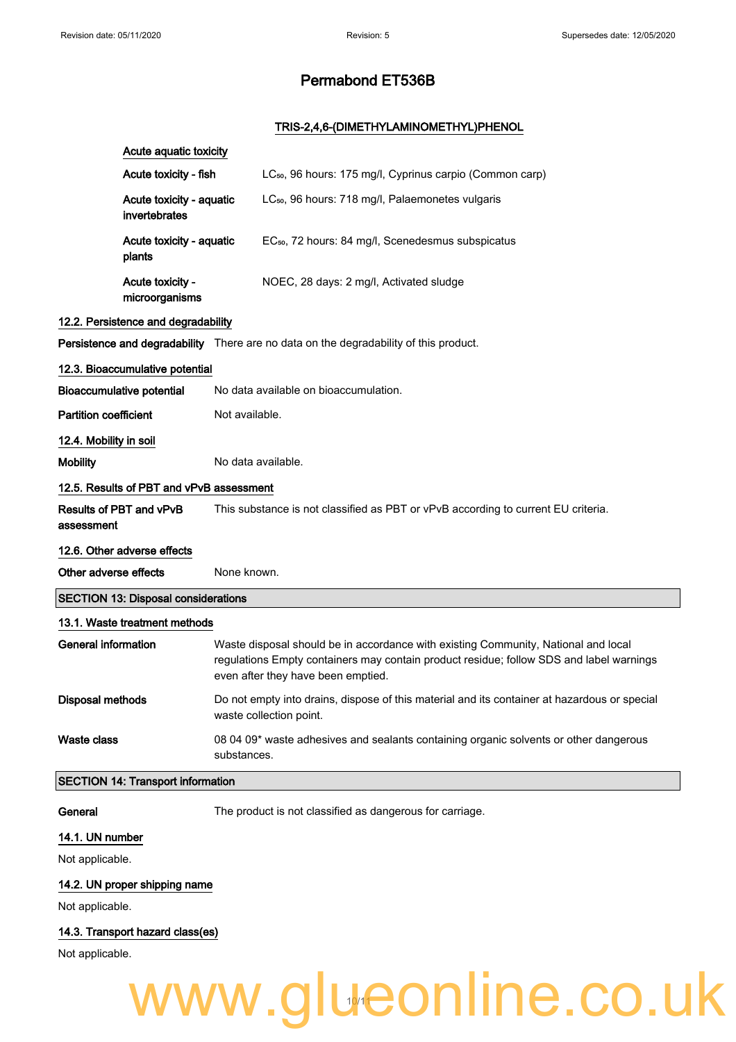#### TRIS-2,4,6-(DIMETHYLAMINOMETHYL)PHENOL

|                              | Acute aquatic toxicity                     |                    |                                                                                                                                                                                                                     |
|------------------------------|--------------------------------------------|--------------------|---------------------------------------------------------------------------------------------------------------------------------------------------------------------------------------------------------------------|
|                              |                                            |                    |                                                                                                                                                                                                                     |
|                              | Acute toxicity - fish                      |                    | LC <sub>50</sub> , 96 hours: 175 mg/l, Cyprinus carpio (Common carp)                                                                                                                                                |
|                              | Acute toxicity - aquatic<br>invertebrates  |                    | LC <sub>50</sub> , 96 hours: 718 mg/l, Palaemonetes vulgaris                                                                                                                                                        |
|                              | Acute toxicity - aquatic<br>plants         |                    | EC <sub>50</sub> , 72 hours: 84 mg/l, Scenedesmus subspicatus                                                                                                                                                       |
|                              | Acute toxicity -<br>microorganisms         |                    | NOEC, 28 days: 2 mg/l, Activated sludge                                                                                                                                                                             |
|                              | 12.2. Persistence and degradability        |                    |                                                                                                                                                                                                                     |
|                              |                                            |                    | Persistence and degradability There are no data on the degradability of this product.                                                                                                                               |
|                              | 12.3. Bioaccumulative potential            |                    |                                                                                                                                                                                                                     |
|                              | <b>Bioaccumulative potential</b>           |                    | No data available on bioaccumulation.                                                                                                                                                                               |
| <b>Partition coefficient</b> |                                            | Not available.     |                                                                                                                                                                                                                     |
| 12.4. Mobility in soil       |                                            |                    |                                                                                                                                                                                                                     |
| <b>Mobility</b>              |                                            | No data available. |                                                                                                                                                                                                                     |
|                              | 12.5. Results of PBT and vPvB assessment   |                    |                                                                                                                                                                                                                     |
| assessment                   | Results of PBT and vPvB                    |                    | This substance is not classified as PBT or vPvB according to current EU criteria.                                                                                                                                   |
|                              | 12.6. Other adverse effects                |                    |                                                                                                                                                                                                                     |
| Other adverse effects        |                                            | None known.        |                                                                                                                                                                                                                     |
|                              | <b>SECTION 13: Disposal considerations</b> |                    |                                                                                                                                                                                                                     |
|                              | 13.1. Waste treatment methods              |                    |                                                                                                                                                                                                                     |
| General information          |                                            |                    | Waste disposal should be in accordance with existing Community, National and local<br>regulations Empty containers may contain product residue; follow SDS and label warnings<br>even after they have been emptied. |
| Disposal methods             |                                            |                    | Do not empty into drains, dispose of this material and its container at hazardous or special<br>waste collection point.                                                                                             |
| Waste class                  |                                            | substances.        | 08 04 09* waste adhesives and sealants containing organic solvents or other dangerous                                                                                                                               |
|                              | <b>SECTION 14: Transport information</b>   |                    |                                                                                                                                                                                                                     |
| General                      |                                            |                    | The product is not classified as dangerous for carriage.                                                                                                                                                            |
| 14.1. UN number              |                                            |                    |                                                                                                                                                                                                                     |
| Not applicable.              |                                            |                    |                                                                                                                                                                                                                     |

#### 14.2. UN proper shipping name

Not applicable.

#### 14.3. Transport hazard class(es)

Not applicable.